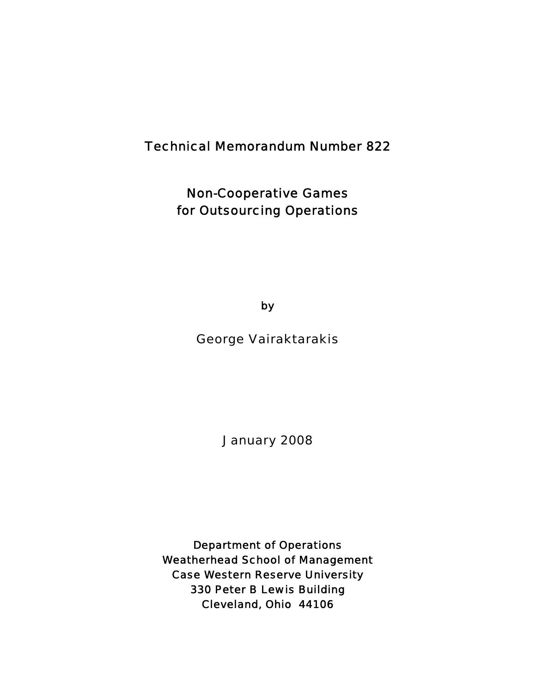# Technical Memorandum Number 822

Non-Cooperative Games for Outsourcing Operations

by

George Vairaktarakis

January 2008

Department of Operations Weatherhead School of Management Case Western Reserve University 330 Peter B Lewis Building Cleveland, Ohio 44106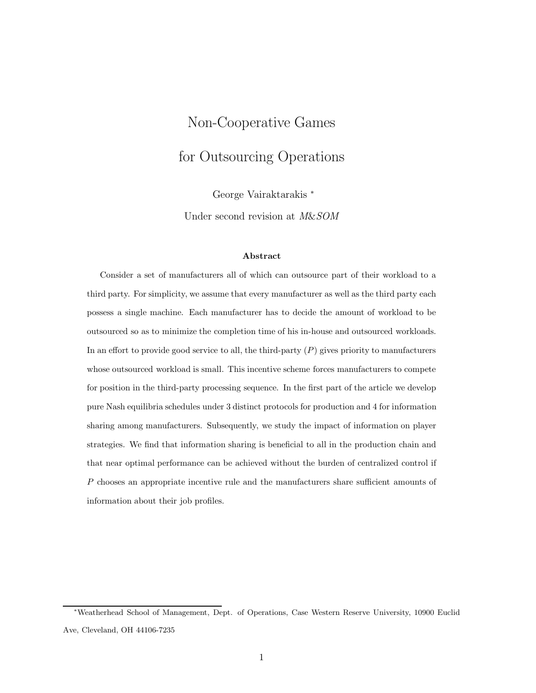# Non-Cooperative Games for Outsourcing Operations

George Vairaktarakis <sup>∗</sup>

Under second revision at *M*&*SOM*

#### **Abstract**

Consider a set of manufacturers all of which can outsource part of their workload to a third party. For simplicity, we assume that every manufacturer as well as the third party each possess a single machine. Each manufacturer has to decide the amount of workload to be outsourced so as to minimize the completion time of his in-house and outsourced workloads. In an effort to provide good service to all, the third-party  $(P)$  gives priority to manufacturers whose outsourced workload is small. This incentive scheme forces manufacturers to compete for position in the third-party processing sequence. In the first part of the article we develop pure Nash equilibria schedules under 3 distinct protocols for production and 4 for information sharing among manufacturers. Subsequently, we study the impact of information on player strategies. We find that information sharing is beneficial to all in the production chain and that near optimal performance can be achieved without the burden of centralized control if P chooses an appropriate incentive rule and the manufacturers share sufficient amounts of information about their job profiles.

<sup>∗</sup>Weatherhead School of Management, Dept. of Operations, Case Western Reserve University, 10900 Euclid Ave, Cleveland, OH 44106-7235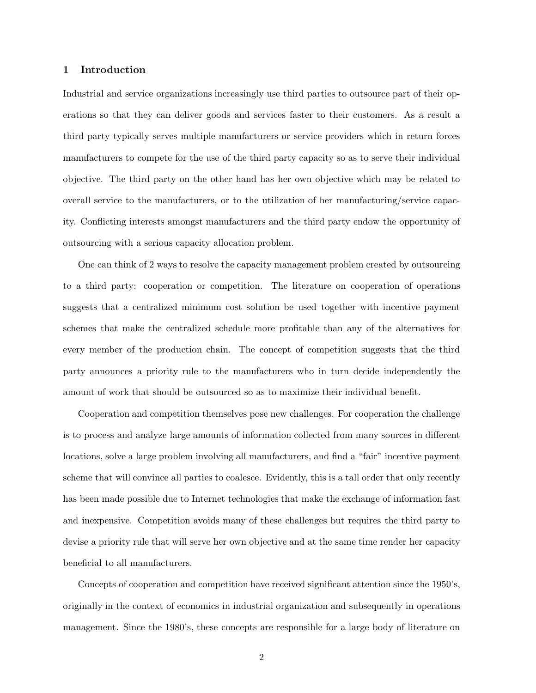#### **1 Introduction**

Industrial and service organizations increasingly use third parties to outsource part of their operations so that they can deliver goods and services faster to their customers. As a result a third party typically serves multiple manufacturers or service providers which in return forces manufacturers to compete for the use of the third party capacity so as to serve their individual objective. The third party on the other hand has her own objective which may be related to overall service to the manufacturers, or to the utilization of her manufacturing/service capacity. Conflicting interests amongst manufacturers and the third party endow the opportunity of outsourcing with a serious capacity allocation problem.

One can think of 2 ways to resolve the capacity management problem created by outsourcing to a third party: cooperation or competition. The literature on cooperation of operations suggests that a centralized minimum cost solution be used together with incentive payment schemes that make the centralized schedule more profitable than any of the alternatives for every member of the production chain. The concept of competition suggests that the third party announces a priority rule to the manufacturers who in turn decide independently the amount of work that should be outsourced so as to maximize their individual benefit.

Cooperation and competition themselves pose new challenges. For cooperation the challenge is to process and analyze large amounts of information collected from many sources in different locations, solve a large problem involving all manufacturers, and find a "fair" incentive payment scheme that will convince all parties to coalesce. Evidently, this is a tall order that only recently has been made possible due to Internet technologies that make the exchange of information fast and inexpensive. Competition avoids many of these challenges but requires the third party to devise a priority rule that will serve her own objective and at the same time render her capacity beneficial to all manufacturers.

Concepts of cooperation and competition have received significant attention since the 1950's, originally in the context of economics in industrial organization and subsequently in operations management. Since the 1980's, these concepts are responsible for a large body of literature on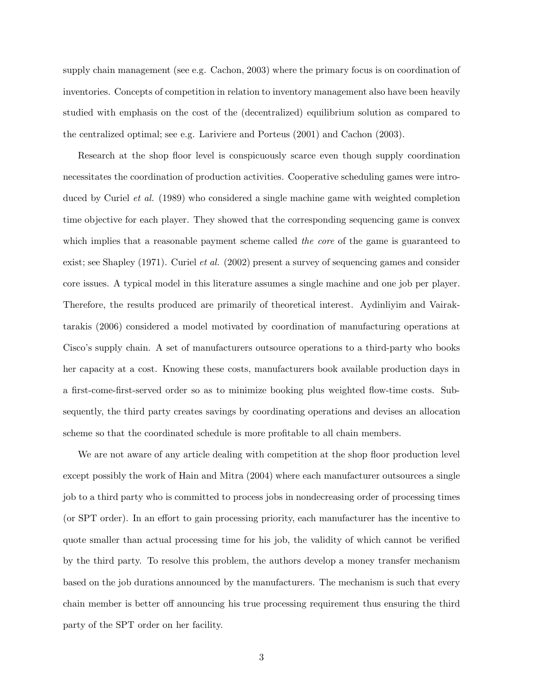supply chain management (see e.g. Cachon, 2003) where the primary focus is on coordination of inventories. Concepts of competition in relation to inventory management also have been heavily studied with emphasis on the cost of the (decentralized) equilibrium solution as compared to the centralized optimal; see e.g. Lariviere and Porteus (2001) and Cachon (2003).

Research at the shop floor level is conspicuously scarce even though supply coordination necessitates the coordination of production activities. Cooperative scheduling games were introduced by Curiel *et al.* (1989) who considered a single machine game with weighted completion time objective for each player. They showed that the corresponding sequencing game is convex which implies that a reasonable payment scheme called *the core* of the game is guaranteed to exist; see Shapley (1971). Curiel *et al.* (2002) present a survey of sequencing games and consider core issues. A typical model in this literature assumes a single machine and one job per player. Therefore, the results produced are primarily of theoretical interest. Aydinliyim and Vairaktarakis (2006) considered a model motivated by coordination of manufacturing operations at Cisco's supply chain. A set of manufacturers outsource operations to a third-party who books her capacity at a cost. Knowing these costs, manufacturers book available production days in a first-come-first-served order so as to minimize booking plus weighted flow-time costs. Subsequently, the third party creates savings by coordinating operations and devises an allocation scheme so that the coordinated schedule is more profitable to all chain members.

We are not aware of any article dealing with competition at the shop floor production level except possibly the work of Hain and Mitra (2004) where each manufacturer outsources a single job to a third party who is committed to process jobs in nondecreasing order of processing times (or SPT order). In an effort to gain processing priority, each manufacturer has the incentive to quote smaller than actual processing time for his job, the validity of which cannot be verified by the third party. To resolve this problem, the authors develop a money transfer mechanism based on the job durations announced by the manufacturers. The mechanism is such that every chain member is better off announcing his true processing requirement thus ensuring the third party of the SPT order on her facility.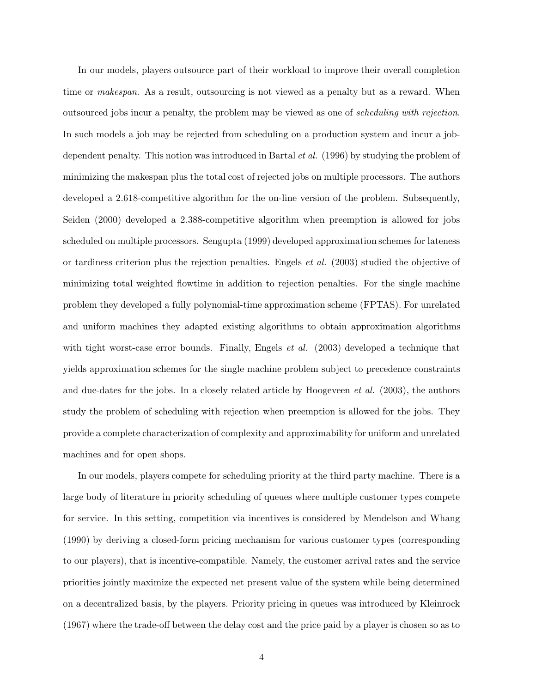In our models, players outsource part of their workload to improve their overall completion time or *makespan*. As a result, outsourcing is not viewed as a penalty but as a reward. When outsourced jobs incur a penalty, the problem may be viewed as one of *scheduling with rejection*. In such models a job may be rejected from scheduling on a production system and incur a jobdependent penalty. This notion was introduced in Bartal *et al.* (1996) by studying the problem of minimizing the makespan plus the total cost of rejected jobs on multiple processors. The authors developed a 2.618-competitive algorithm for the on-line version of the problem. Subsequently, Seiden (2000) developed a 2.388-competitive algorithm when preemption is allowed for jobs scheduled on multiple processors. Sengupta (1999) developed approximation schemes for lateness or tardiness criterion plus the rejection penalties. Engels *et al.* (2003) studied the objective of minimizing total weighted flowtime in addition to rejection penalties. For the single machine problem they developed a fully polynomial-time approximation scheme (FPTAS). For unrelated and uniform machines they adapted existing algorithms to obtain approximation algorithms with tight worst-case error bounds. Finally, Engels *et al.* (2003) developed a technique that yields approximation schemes for the single machine problem subject to precedence constraints and due-dates for the jobs. In a closely related article by Hoogeveen *et al.* (2003), the authors study the problem of scheduling with rejection when preemption is allowed for the jobs. They provide a complete characterization of complexity and approximability for uniform and unrelated machines and for open shops.

In our models, players compete for scheduling priority at the third party machine. There is a large body of literature in priority scheduling of queues where multiple customer types compete for service. In this setting, competition via incentives is considered by Mendelson and Whang (1990) by deriving a closed-form pricing mechanism for various customer types (corresponding to our players), that is incentive-compatible. Namely, the customer arrival rates and the service priorities jointly maximize the expected net present value of the system while being determined on a decentralized basis, by the players. Priority pricing in queues was introduced by Kleinrock (1967) where the trade-off between the delay cost and the price paid by a player is chosen so as to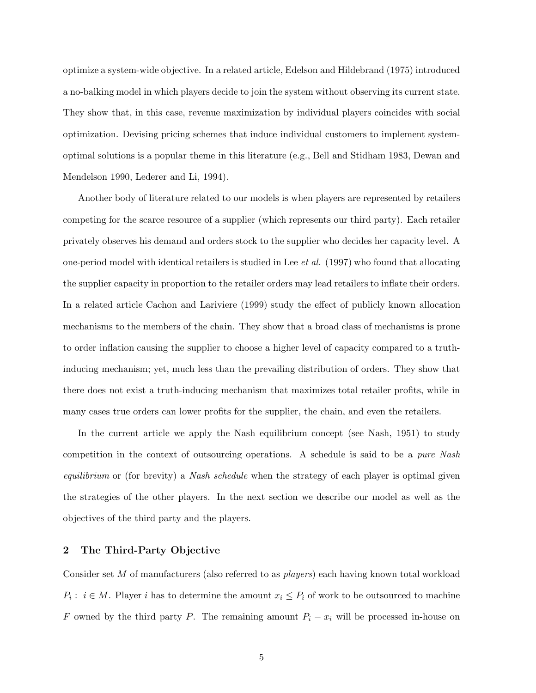optimize a system-wide objective. In a related article, Edelson and Hildebrand (1975) introduced a no-balking model in which players decide to join the system without observing its current state. They show that, in this case, revenue maximization by individual players coincides with social optimization. Devising pricing schemes that induce individual customers to implement systemoptimal solutions is a popular theme in this literature (e.g., Bell and Stidham 1983, Dewan and Mendelson 1990, Lederer and Li, 1994).

Another body of literature related to our models is when players are represented by retailers competing for the scarce resource of a supplier (which represents our third party). Each retailer privately observes his demand and orders stock to the supplier who decides her capacity level. A one-period model with identical retailers is studied in Lee *et al.* (1997) who found that allocating the supplier capacity in proportion to the retailer orders may lead retailers to inflate their orders. In a related article Cachon and Lariviere (1999) study the effect of publicly known allocation mechanisms to the members of the chain. They show that a broad class of mechanisms is prone to order inflation causing the supplier to choose a higher level of capacity compared to a truthinducing mechanism; yet, much less than the prevailing distribution of orders. They show that there does not exist a truth-inducing mechanism that maximizes total retailer profits, while in many cases true orders can lower profits for the supplier, the chain, and even the retailers.

In the current article we apply the Nash equilibrium concept (see Nash, 1951) to study competition in the context of outsourcing operations. A schedule is said to be a *pure Nash equilibrium* or (for brevity) a *Nash schedule* when the strategy of each player is optimal given the strategies of the other players. In the next section we describe our model as well as the objectives of the third party and the players.

#### **2 The Third-Party Objective**

Consider set M of manufacturers (also referred to as *players*) each having known total workload  $P_i: i \in M$ . Player i has to determine the amount  $x_i \leq P_i$  of work to be outsourced to machine F owned by the third party P. The remaining amount  $P_i - x_i$  will be processed in-house on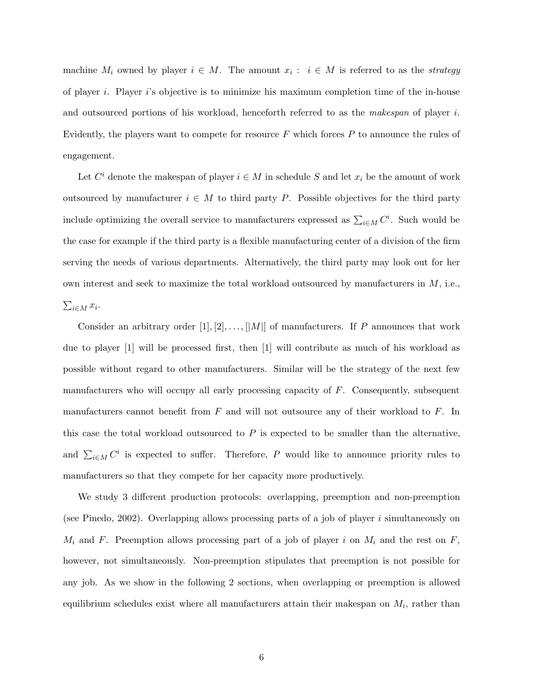machine  $M_i$  owned by player  $i \in M$ . The amount  $x_i : i \in M$  is referred to as the *strategy* of player i. Player i's objective is to minimize his maximum completion time of the in-house and outsourced portions of his workload, henceforth referred to as the *makespan* of player i. Evidently, the players want to compete for resource  $F$  which forces  $P$  to announce the rules of engagement.

Let  $C^i$  denote the makespan of player  $i \in M$  in schedule  $S$  and let  $x_i$  be the amount of work outsourced by manufacturer  $i \in M$  to third party P. Possible objectives for the third party include optimizing the overall service to manufacturers expressed as  $\sum_{i \in M} C^i$ . Such would be the case for example if the third party is a flexible manufacturing center of a division of the firm serving the needs of various departments. Alternatively, the third party may look out for her own interest and seek to maximize the total workload outsourced by manufacturers in M, i.e.,  $\sum_{i\in M} x_i$ .

Consider an arbitrary order  $[1], [2], \ldots, [|M|]$  of manufacturers. If P announces that work due to player [1] will be processed first, then [1] will contribute as much of his workload as possible without regard to other manufacturers. Similar will be the strategy of the next few manufacturers who will occupy all early processing capacity of  $F$ . Consequently, subsequent manufacturers cannot benefit from  $F$  and will not outsource any of their workload to  $F$ . In this case the total workload outsourced to  $P$  is expected to be smaller than the alternative, and  $\sum_{i\in M} C^i$  is expected to suffer. Therefore, P would like to announce priority rules to manufacturers so that they compete for her capacity more productively.

We study 3 different production protocols: overlapping, preemption and non-preemption (see Pinedo, 2002). Overlapping allows processing parts of a job of player i simultaneously on  $M_i$  and F. Preemption allows processing part of a job of player i on  $M_i$  and the rest on F, however, not simultaneously. Non-preemption stipulates that preemption is not possible for any job. As we show in the following 2 sections, when overlapping or preemption is allowed equilibrium schedules exist where all manufacturers attain their makespan on  $M_i$ , rather than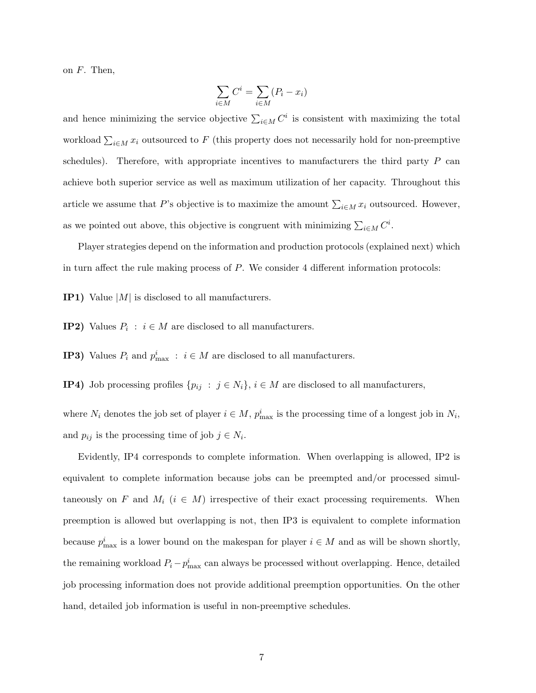on  $F$ . Then,

$$
\sum_{i \in M} C^i = \sum_{i \in M} (P_i - x_i)
$$

and hence minimizing the service objective  $\sum_{i \in M} C^i$  is consistent with maximizing the total workload  $\sum_{i\in M} x_i$  outsourced to F (this property does not necessarily hold for non-preemptive schedules). Therefore, with appropriate incentives to manufacturers the third party  $P$  can achieve both superior service as well as maximum utilization of her capacity. Throughout this article we assume that P's objective is to maximize the amount  $\sum_{i\in M} x_i$  outsourced. However, as we pointed out above, this objective is congruent with minimizing  $\sum_{i \in M} C^i$ .

Player strategies depend on the information and production protocols (explained next) which in turn affect the rule making process of  $P$ . We consider 4 different information protocols:

- **IP1)** Value |M| is disclosed to all manufacturers.
- **IP2)** Values  $P_i : i \in M$  are disclosed to all manufacturers.
- **IP3)** Values  $P_i$  and  $p_{\text{max}}^i$  :  $i \in M$  are disclosed to all manufacturers.
- **IP4)** Job processing profiles  $\{p_{ij} : j \in N_i\}$ ,  $i \in M$  are disclosed to all manufacturers,

where  $N_i$  denotes the job set of player  $i \in M$ ,  $p_{\text{max}}^i$  is the processing time of a longest job in  $N_i$ , and  $p_{ij}$  is the processing time of job  $j \in N_i$ .

Evidently, IP4 corresponds to complete information. When overlapping is allowed, IP2 is equivalent to complete information because jobs can be preempted and/or processed simultaneously on F and  $M_i$  ( $i \in M$ ) irrespective of their exact processing requirements. When preemption is allowed but overlapping is not, then IP3 is equivalent to complete information because  $p_{\text{max}}^i$  is a lower bound on the makespan for player  $i \in M$  and as will be shown shortly, the remaining workload  $P_i - p_{\text{max}}^i$  can always be processed without overlapping. Hence, detailed job processing information does not provide additional preemption opportunities. On the other hand, detailed job information is useful in non-preemptive schedules.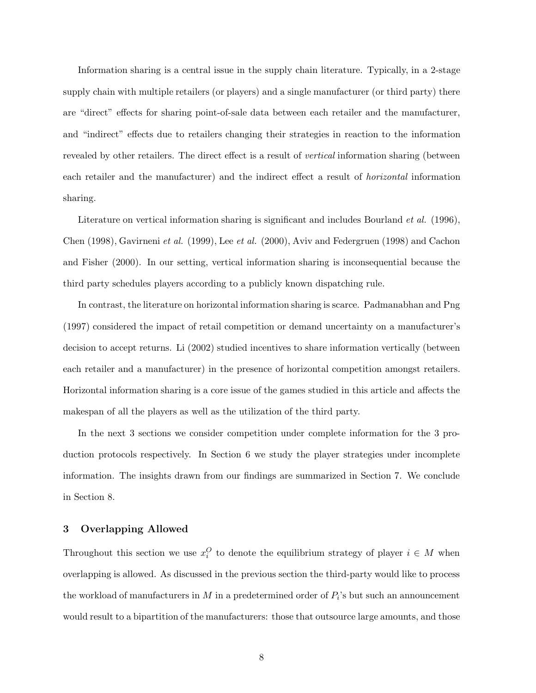Information sharing is a central issue in the supply chain literature. Typically, in a 2-stage supply chain with multiple retailers (or players) and a single manufacturer (or third party) there are "direct" effects for sharing point-of-sale data between each retailer and the manufacturer, and "indirect" effects due to retailers changing their strategies in reaction to the information revealed by other retailers. The direct effect is a result of *vertical* information sharing (between each retailer and the manufacturer) and the indirect effect a result of *horizontal* information sharing.

Literature on vertical information sharing is significant and includes Bourland *et al.* (1996), Chen (1998), Gavirneni *et al.* (1999), Lee *et al.* (2000), Aviv and Federgruen (1998) and Cachon and Fisher (2000). In our setting, vertical information sharing is inconsequential because the third party schedules players according to a publicly known dispatching rule.

In contrast, the literature on horizontal information sharing is scarce. Padmanabhan and Png (1997) considered the impact of retail competition or demand uncertainty on a manufacturer's decision to accept returns. Li (2002) studied incentives to share information vertically (between each retailer and a manufacturer) in the presence of horizontal competition amongst retailers. Horizontal information sharing is a core issue of the games studied in this article and affects the makespan of all the players as well as the utilization of the third party.

In the next 3 sections we consider competition under complete information for the 3 production protocols respectively. In Section 6 we study the player strategies under incomplete information. The insights drawn from our findings are summarized in Section 7. We conclude in Section 8.

#### **3 Overlapping Allowed**

Throughout this section we use  $x_i^O$  to denote the equilibrium strategy of player  $i \in M$  when overlapping is allowed. As discussed in the previous section the third-party would like to process the workload of manufacturers in  $M$  in a predetermined order of  $P_i$ 's but such an announcement would result to a bipartition of the manufacturers: those that outsource large amounts, and those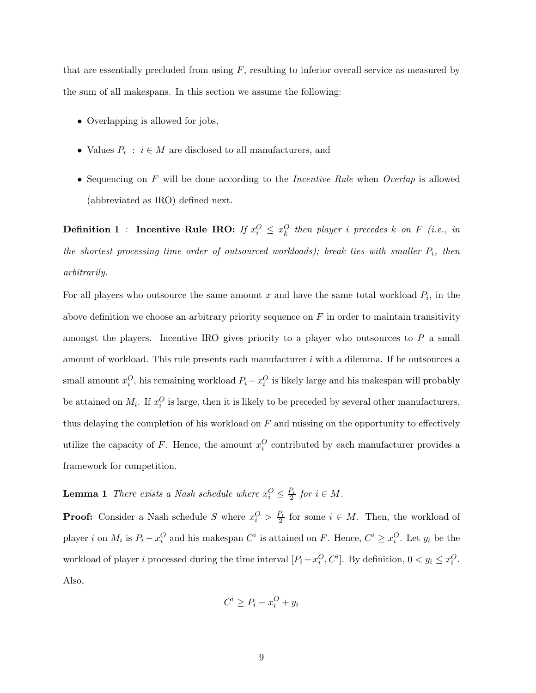that are essentially precluded from using  $F$ , resulting to inferior overall service as measured by the sum of all makespans. In this section we assume the following:

- Overlapping is allowed for jobs,
- Values  $P_i : i \in M$  are disclosed to all manufacturers, and
- Sequencing on F will be done according to the *Incentive Rule* when *Overlap* is allowed (abbreviated as IRO) defined next.

**Definition 1** *:* **Incentive Rule IRO:** If  $x_i^O \leq x_k^O$  then player i precedes k on F (i.e., in *the shortest processing time order of outsourced workloads); break ties with smaller*  $P_i$ *, then arbitrarily.*

For all players who outsource the same amount x and have the same total workload  $P_i$ , in the above definition we choose an arbitrary priority sequence on  $F$  in order to maintain transitivity amongst the players. Incentive IRO gives priority to a player who outsources to  $P$  a small amount of workload. This rule presents each manufacturer i with a dilemma. If he outsources a small amount  $x_i^O$ , his remaining workload  $P_i - x_i^O$  is likely large and his makespan will probably be attained on  $M_i$ . If  $x_i^O$  is large, then it is likely to be preceded by several other manufacturers, thus delaying the completion of his workload on  $F$  and missing on the opportunity to effectively utilize the capacity of F. Hence, the amount  $x_i^O$  contributed by each manufacturer provides a framework for competition.

**Lemma 1** *There exists a Nash schedule where*  $x_i^O \leq \frac{P_i}{2}$  *for*  $i \in M$ *.* 

**Proof:** Consider a Nash schedule S where  $x_i^O > \frac{P_i}{2}$  for some  $i \in M$ . Then, the workload of player i on  $M_i$  is  $P_i - x_i^O$  and his makespan  $C^i$  is attained on F. Hence,  $C^i \ge x_i^O$ . Let  $y_i$  be the workload of player *i* processed during the time interval  $[P_i - x_i^O, C^i]$ . By definition,  $0 < y_i \leq x_i^O$ . Also,

$$
C^i \ge P_i - x_i^O + y_i
$$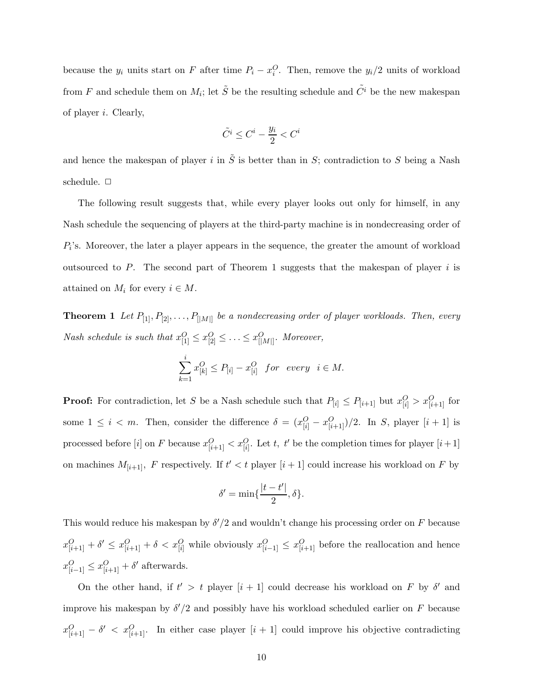because the  $y_i$  units start on F after time  $P_i - x_i^O$ . Then, remove the  $y_i/2$  units of workload from F and schedule them on  $M_i$ ; let  $\tilde{S}$  be the resulting schedule and  $\tilde{C}^i$  be the new makespan of player i. Clearly,

$$
\tilde{C}^i \leq C^i - \frac{y_i}{2} < C^i
$$

and hence the makespan of player i in  $\tilde{S}$  is better than in S; contradiction to S being a Nash schedule.  $\square$ 

The following result suggests that, while every player looks out only for himself, in any Nash schedule the sequencing of players at the third-party machine is in nondecreasing order of  $P_i$ 's. Moreover, the later a player appears in the sequence, the greater the amount of workload outsourced to P. The second part of Theorem 1 suggests that the makespan of player  $i$  is attained on  $M_i$  for every  $i \in M$ .

**Theorem 1** *Let*  $P_{[1]}, P_{[2]}, \ldots, P_{[|M|]}$  *be a nondecreasing order of player workloads. Then, every Nash schedule is such that*  $x_{[1]}^O \le x_{[2]}^O \le \ldots \le x_{[|M|]}^O$ . Moreover,

$$
\sum_{k=1}^{i} x_{[k]}^{O} \le P_{[i]} - x_{[i]}^{O} \quad \text{for every} \quad i \in M.
$$

**Proof:** For contradiction, let S be a Nash schedule such that  $P_{[i]} \leq P_{[i+1]}$  but  $x_{[i]}^O > x_{[i+1]}^O$  for some  $1 \leq i < m$ . Then, consider the difference  $\delta = (x_{[i]}^O - x_{[i+1]}^O)/2$ . In S, player  $[i+1]$  is processed before [*i*] on F because  $x_{[i+1]}^O < x_{[i]}^O$ . Let t, t' be the completion times for player [*i*+1] on machines  $M_{[i+1]}$ , F respectively. If  $t' < t$  player  $[i+1]$  could increase his workload on F by

$$
\delta'=\min\{\frac{|t-t'|}{2},\delta\}.
$$

This would reduce his makespan by  $\delta'/2$  and wouldn't change his processing order on F because  $x_{[i+1]}^O + \delta' \leq x_{[i+1]}^O + \delta < x_{[i]}^O$  while obviously  $x_{[i-1]}^O \leq x_{[i+1]}^O$  before the reallocation and hence  $x_{[i-1]}^O \leq x_{[i+1]}^O + \delta'$  afterwards.

On the other hand, if  $t' > t$  player  $[i + 1]$  could decrease his workload on F by  $\delta'$  and improve his makespan by  $\delta'/2$  and possibly have his workload scheduled earlier on F because  $x_{[i+1]}^O - \delta' < x_{[i+1]}^O$ . In either case player  $[i+1]$  could improve his objective contradicting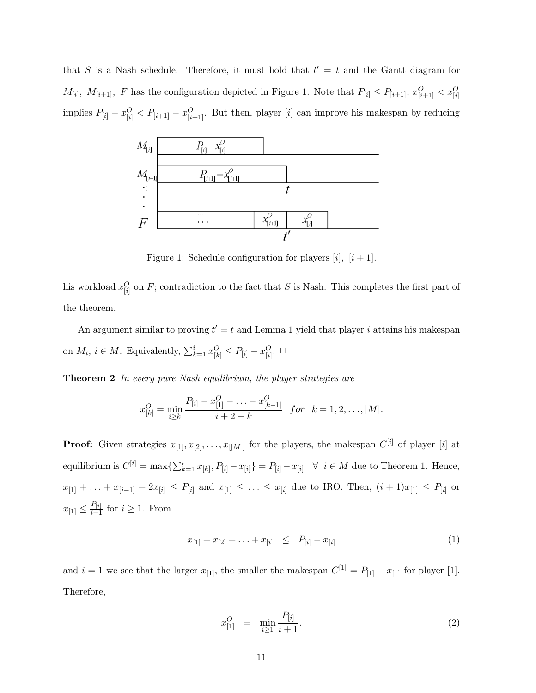that S is a Nash schedule. Therefore, it must hold that  $t' = t$  and the Gantt diagram for  $M_{[i]}$ ,  $M_{[i+1]}$ , F has the configuration depicted in Figure 1. Note that  $P_{[i]} \leq P_{[i+1]}$ ,  $x_{[i+1]}^O < x_{[i]}^O$ implies  $P_{[i]} - x_{[i]}^O < P_{[i+1]} - x_{[i+1]}^O$ . But then, player [i] can improve his makespan by reducing



Figure 1: Schedule configuration for players [i],  $[i+1]$ .

his workload  $x_{[i]}^O$  on F; contradiction to the fact that S is Nash. This completes the first part of the theorem.

An argument similar to proving  $t' = t$  and Lemma 1 yield that player i attains his makespan on  $M_i$ ,  $i \in M$ . Equivalently,  $\sum_{k=1}^{i} x_{[k]}^O \le P_{[i]} - x_{[i]}^O$ .  $\Box$ 

**Theorem 2** *In every pure Nash equilibrium, the player strategies are*

$$
x_{[k]}^O = \min_{i \ge k} \frac{P_{[i]} - x_{[1]}^O - \ldots - x_{[k-1]}^O}{i + 2 - k} \quad for \quad k = 1, 2, \ldots, |M|.
$$

**Proof:** Given strategies  $x_{[1]}, x_{[2]}, \ldots, x_{[|M|]}$  for the players, the makespan  $C^{[i]}$  of player  $[i]$  at equilibrium is  $C^{[i]} = \max\{\sum_{k=1}^{i} x_{[k]}, P_{[i]} - x_{[i]}\} = P_{[i]} - x_{[i]} \quad \forall \quad i \in M$  due to Theorem 1. Hence,  $x_{[1]} + \ldots + x_{[i-1]} + 2x_{[i]} \le P_{[i]}$  and  $x_{[1]} \le \ldots \le x_{[i]}$  due to IRO. Then,  $(i + 1)x_{[1]} \le P_{[i]}$  or  $x_{[1]} \leq \frac{P_{[i]}}{i+1}$  for  $i \geq 1$ . From

$$
x_{[1]} + x_{[2]} + \ldots + x_{[i]} \leq P_{[i]} - x_{[i]}
$$
 (1)

and  $i = 1$  we see that the larger  $x_{[1]}$ , the smaller the makespan  $C^{[1]} = P_{[1]} - x_{[1]}$  for player [1]. Therefore,

$$
x_{[1]}^O = \min_{i \ge 1} \frac{P_{[i]}}{i+1}.\tag{2}
$$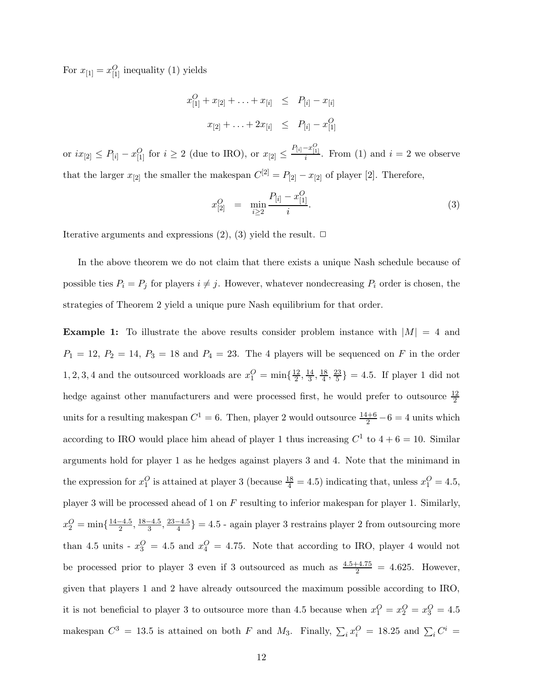For  $x_{[1]} = x_{[1]}^O$  inequality (1) yields

$$
x_{[1]}^O + x_{[2]} + \ldots + x_{[i]} \le P_{[i]} - x_{[i]}
$$
  

$$
x_{[2]} + \ldots + 2x_{[i]} \le P_{[i]} - x_{[1]}^O
$$

or  $ix_{[2]} ≤ P_{[i]} - x_{[1]}^O$  for  $i ≥ 2$  (due to IRO), or  $x_{[2]} ≤ \frac{P_{[i]} - x_{[1]}^O}{i}$ . From (1) and  $i = 2$  we observe that the larger  $x_{[2]}$  the smaller the makespan  $C^{[2]} = P_{[2]} - x_{[2]}$  of player [2]. Therefore,

$$
x_{[2]}^O = \min_{i \ge 2} \frac{P_{[i]} - x_{[1]}^O}{i}.
$$
 (3)

Iterative arguments and expressions  $(2)$ ,  $(3)$  yield the result.  $\Box$ 

In the above theorem we do not claim that there exists a unique Nash schedule because of possible ties  $P_i = P_j$  for players  $i \neq j$ . However, whatever nondecreasing  $P_i$  order is chosen, the strategies of Theorem 2 yield a unique pure Nash equilibrium for that order.

**Example 1:** To illustrate the above results consider problem instance with  $|M| = 4$  and  $P_1 = 12, P_2 = 14, P_3 = 18$  and  $P_4 = 23$ . The 4 players will be sequenced on F in the order 1, 2, 3, 4 and the outsourced workloads are  $x_1^O = \min\{\frac{12}{2}, \frac{14}{3}, \frac{18}{4}, \frac{23}{5}\} = 4.5$ . If player 1 did not hedge against other manufacturers and were processed first, he would prefer to outsource  $\frac{12}{2}$ units for a resulting makespan  $C^1 = 6$ . Then, player 2 would outsource  $\frac{14+6}{2} - 6 = 4$  units which according to IRO would place him ahead of player 1 thus increasing  $C^1$  to  $4+6=10$ . Similar arguments hold for player 1 as he hedges against players 3 and 4. Note that the minimand in the expression for  $x_1^O$  is attained at player 3 (because  $\frac{18}{4} = 4.5$ ) indicating that, unless  $x_1^O = 4.5$ , player 3 will be processed ahead of 1 on F resulting to inferior makespan for player 1. Similarly,  $x_2^O = \min\{\frac{14-4.5}{2}, \frac{18-4.5}{3}, \frac{23-4.5}{4}\} = 4.5$  - again player 3 restrains player 2 from outsourcing more than 4.5 units -  $x_3^O = 4.5$  and  $x_4^O = 4.75$ . Note that according to IRO, player 4 would not be processed prior to player 3 even if 3 outsourced as much as  $\frac{4.5+4.75}{2} = 4.625$ . However, given that players 1 and 2 have already outsourced the maximum possible according to IRO, it is not beneficial to player 3 to outsource more than 4.5 because when  $x_1^O = x_2^O = x_3^O = 4.5$ makespan  $C^3 = 13.5$  is attained on both F and M<sub>3</sub>. Finally,  $\sum_i x_i^O = 18.25$  and  $\sum_i C^i =$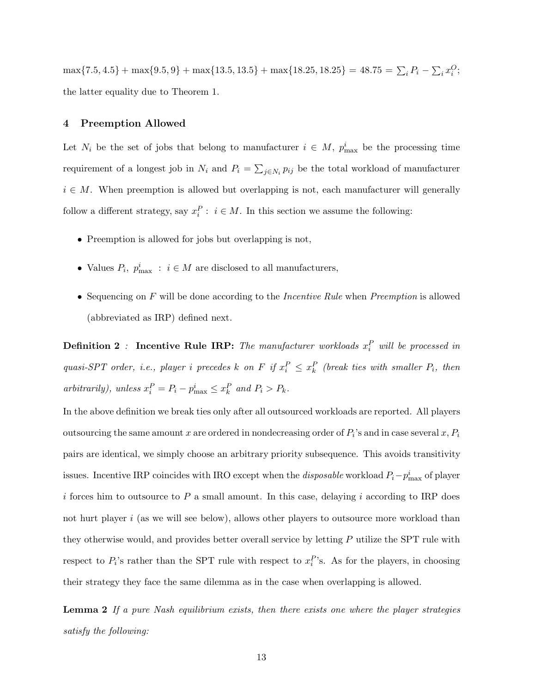$\max\{7.5, 4.5\} + \max\{9.5, 9\} + \max\{13.5, 13.5\} + \max\{18.25, 18.25\} = 48.75 = \sum_i P_i - \sum_i x_i^O;$ the latter equality due to Theorem 1.

#### **4 Preemption Allowed**

Let  $N_i$  be the set of jobs that belong to manufacturer  $i \in M$ ,  $p_{\text{max}}^i$  be the processing time requirement of a longest job in  $N_i$  and  $P_i = \sum_{j \in N_i} p_{ij}$  be the total workload of manufacturer  $i \in M$ . When preemption is allowed but overlapping is not, each manufacturer will generally follow a different strategy, say  $x_i^P : i \in M$ . In this section we assume the following:

- Preemption is allowed for jobs but overlapping is not,
- Values  $P_i$ ,  $p_{\text{max}}^i$ :  $i \in M$  are disclosed to all manufacturers,
- Sequencing on F will be done according to the *Incentive Rule* when *Preemption* is allowed (abbreviated as IRP) defined next.

**Definition 2** *:* Incentive Rule IRP: The manufacturer workloads  $x_i^P$  will be processed in *quasi-SPT order, i.e., player i precedes* k on F if  $x_i^P \leq x_k^P$  (break ties with smaller  $P_i$ , then  $arbitrarily, unless  $x_i^P = P_i - p_{\text{max}}^i \le x_k^P \text{ and } P_i > P_k.$$ 

In the above definition we break ties only after all outsourced workloads are reported. All players outsourcing the same amount x are ordered in nondecreasing order of  $P_i$ 's and in case several x,  $P_i$ pairs are identical, we simply choose an arbitrary priority subsequence. This avoids transitivity issues. Incentive IRP coincides with IRO except when the *disposable* workload  $P_i - p_{\text{max}}^i$  of player i forces him to outsource to P a small amount. In this case, delaying i according to IRP does not hurt player  $i$  (as we will see below), allows other players to outsource more workload than they otherwise would, and provides better overall service by letting P utilize the SPT rule with respect to  $P_i$ 's rather than the SPT rule with respect to  $x_i^P$ 's. As for the players, in choosing their strategy they face the same dilemma as in the case when overlapping is allowed.

**Lemma 2** *If a pure Nash equilibrium exists, then there exists one where the player strategies satisfy the following:*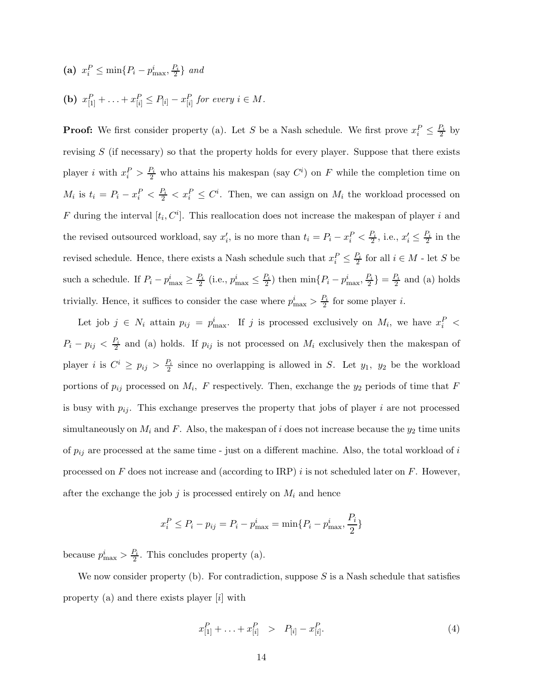(a)  $x_i^P \le \min\{P_i - p_{\max}^i, \frac{P_i}{2}\}\$ and **(b)**  $x_{[1]}^P + \ldots + x_{[i]}^P \leq P_{[i]} - x_{[i]}^P$  for every  $i \in M$ .

**Proof:** We first consider property (a). Let S be a Nash schedule. We first prove  $x_i^P \leq \frac{P_i}{2}$  by revising  $S$  (if necessary) so that the property holds for every player. Suppose that there exists player *i* with  $x_i^P > \frac{P_i}{2}$  who attains his makespan (say  $C^i$ ) on F while the completion time on  $M_i$  is  $t_i = P_i - x_i^P < \frac{P_i}{2} < x_i^P \leq C^i$ . Then, we can assign on  $M_i$  the workload processed on F during the interval  $[t_i, C^i]$ . This reallocation does not increase the makespan of player i and the revised outsourced workload, say  $x'_i$ , is no more than  $t_i = P_i - x_i^P < \frac{P_i}{2}$ , i.e.,  $x'_i \leq \frac{P_i}{2}$  in the revised schedule. Hence, there exists a Nash schedule such that  $x_i^P \leq \frac{P_i}{2}$  for all  $i \in M$  - let S be such a schedule. If  $P_i - p_{\text{max}}^i \ge \frac{P_i}{2}$  (i.e.,  $p_{\text{max}}^i \le \frac{P_i}{2}$ ) then  $\min\{P_i - p_{\text{max}}^i, \frac{P_i}{2}\} = \frac{P_i}{2}$  and (a) holds trivially. Hence, it suffices to consider the case where  $p_{\text{max}}^i > \frac{P_i}{2}$  for some player *i*.

Let job  $j \in N_i$  attain  $p_{ij} = p_{\text{max}}^i$ . If j is processed exclusively on  $M_i$ , we have  $x_i^P$  <  $P_i - p_{ij} < \frac{P_i}{2}$  and (a) holds. If  $p_{ij}$  is not processed on  $M_i$  exclusively then the makespan of player i is  $C^i \ge p_{ij} > \frac{P_i}{2}$  since no overlapping is allowed in S. Let  $y_1$ ,  $y_2$  be the workload portions of  $p_{ij}$  processed on  $M_i$ , F respectively. Then, exchange the  $y_2$  periods of time that F is busy with  $p_{ij}$ . This exchange preserves the property that jobs of player i are not processed simultaneously on  $M_i$  and F. Also, the makespan of i does not increase because the  $y_2$  time units of  $p_{ij}$  are processed at the same time - just on a different machine. Also, the total workload of i processed on F does not increase and (according to IRP) i is not scheduled later on F. However, after the exchange the job  $j$  is processed entirely on  $M_i$  and hence

$$
x_i^P \le P_i - p_{ij} = P_i - p_{\text{max}}^i = \min\{P_i - p_{\text{max}}^i, \frac{P_i}{2}\}\
$$

because  $p_{\text{max}}^i > \frac{P_i}{2}$ . This concludes property (a).

We now consider property (b). For contradiction, suppose  $S$  is a Nash schedule that satisfies property (a) and there exists player [i] with

$$
x_{[1]}^P + \ldots + x_{[i]}^P > P_{[i]} - x_{[i]}^P.
$$
\n(4)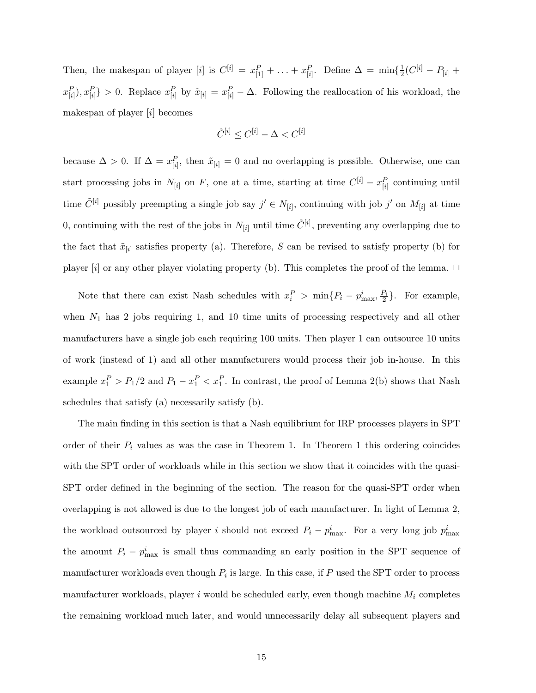Then, the makespan of player [i] is  $C^{[i]} = x_{[1]}^P + \ldots + x_{[i]}^P$ . Define  $\Delta = \min\{\frac{1}{2}(C^{[i]} - P_{[i]} + \ldots + P_{[i]} - P_{[i]} + P_{[i]} - P_{[i]} + \ldots + P_{[i]} - P_{[i]} + \ldots\}$  $\{x_{[i]}^P, x_{[i]}^P\} > 0$ . Replace  $x_{[i]}^P$  by  $\tilde{x}_{[i]} = x_{[i]}^P - \Delta$ . Following the reallocation of his workload, the makespan of player  $[i]$  becomes

$$
\tilde{C}^{[i]} \leq C^{[i]} - \Delta < C^{[i]}
$$

because  $\Delta > 0$ . If  $\Delta = x_{[i]}^P$ , then  $\tilde{x}_{[i]} = 0$  and no overlapping is possible. Otherwise, one can start processing jobs in  $N_{[i]}$  on F, one at a time, starting at time  $C^{[i]} - x_{[i]}^P$  continuing until time  $\tilde{C}^{[i]}$  possibly preempting a single job say  $j' \in N_{[i]}$ , continuing with job  $j'$  on  $M_{[i]}$  at time 0, continuing with the rest of the jobs in  $N_{[i]}$  until time  $\tilde{C}^{[i]}$ , preventing any overlapping due to the fact that  $\tilde{x}_{[i]}$  satisfies property (a). Therefore, S can be revised to satisfy property (b) for player [i] or any other player violating property (b). This completes the proof of the lemma.  $\Box$ 

Note that there can exist Nash schedules with  $x_i^P > \min\{P_i - p_{\text{max}}^i, \frac{P_i}{2}\}\.$  For example, when  $N_1$  has 2 jobs requiring 1, and 10 time units of processing respectively and all other manufacturers have a single job each requiring 100 units. Then player 1 can outsource 10 units of work (instead of 1) and all other manufacturers would process their job in-house. In this example  $x_1^P > P_1/2$  and  $P_1 - x_1^P < x_1^P$ . In contrast, the proof of Lemma 2(b) shows that Nash schedules that satisfy (a) necessarily satisfy (b).

The main finding in this section is that a Nash equilibrium for IRP processes players in SPT order of their  $P_i$  values as was the case in Theorem 1. In Theorem 1 this ordering coincides with the SPT order of workloads while in this section we show that it coincides with the quasi-SPT order defined in the beginning of the section. The reason for the quasi-SPT order when overlapping is not allowed is due to the longest job of each manufacturer. In light of Lemma 2, the workload outsourced by player i should not exceed  $P_i - p_{\text{max}}^i$ . For a very long job  $p_{\text{max}}^i$ the amount  $P_i - p_{\text{max}}^i$  is small thus commanding an early position in the SPT sequence of manufacturer workloads even though  $P_i$  is large. In this case, if P used the SPT order to process manufacturer workloads, player  $i$  would be scheduled early, even though machine  $M_i$  completes the remaining workload much later, and would unnecessarily delay all subsequent players and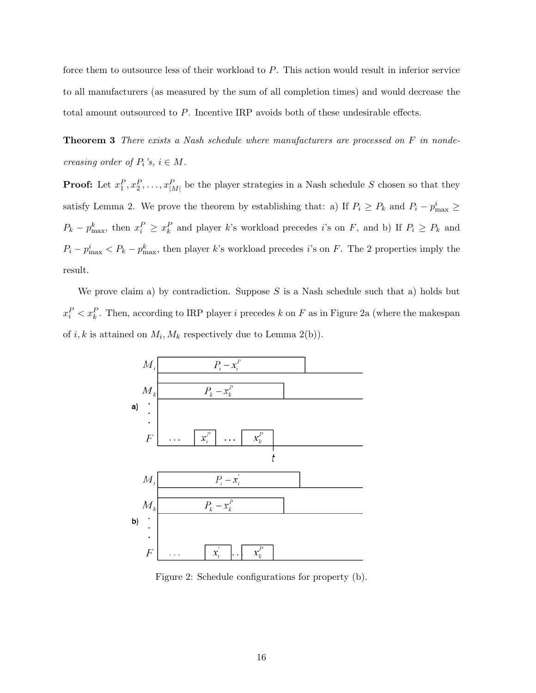force them to outsource less of their workload to P. This action would result in inferior service to all manufacturers (as measured by the sum of all completion times) and would decrease the total amount outsourced to P. Incentive IRP avoids both of these undesirable effects.

**Theorem 3** *There exists a Nash schedule where manufacturers are processed on* F *in nondecreasing order of*  $P_i$ *'s,*  $i \in M$ *.* 

**Proof:** Let  $x_1^P, x_2^P, \ldots, x_{|M|}^P$  be the player strategies in a Nash schedule S chosen so that they satisfy Lemma 2. We prove the theorem by establishing that: a) If  $P_i \ge P_k$  and  $P_i - p_{\text{max}}^i \ge$  $P_k - p_{\text{max}}^k$ , then  $x_i^P \ge x_k^P$  and player k's workload precedes i's on F, and b) If  $P_i \ge P_k$  and  $P_i - p_{\text{max}}^i < P_k - p_{\text{max}}^k$ , then player k's workload precedes i's on F. The 2 properties imply the result.

We prove claim a) by contradiction. Suppose  $S$  is a Nash schedule such that a) holds but  $x_i^P < x_k^P$ . Then, according to IRP player *i* precedes k on F as in Figure 2a (where the makespan of i, k is attained on  $M_i$ ,  $M_k$  respectively due to Lemma 2(b)).



Figure 2: Schedule configurations for property (b).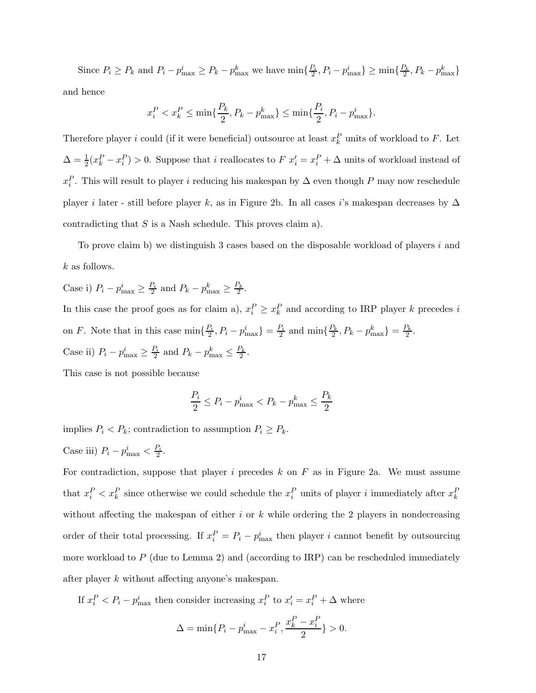Since  $P_i \ge P_k$  and  $P_i - p_{\text{max}}^i \ge P_k - p_{\text{max}}^k$  we have  $\min\{\frac{P_i}{2}, P_i - p_{\text{max}}^i\} \ge \min\{\frac{P_k}{2}, P_k - p_{\text{max}}^k\}$ and hence

$$
x_i^P < x_k^P \leq \min\{\frac{P_k}{2}, P_k - p_{\max}^k\} \leq \min\{\frac{P_i}{2}, P_i - p_{\max}^i\}.
$$

Therefore player i could (if it were beneficial) outsource at least  $x_k^P$  units of workload to F. Let  $\Delta = \frac{1}{2}(x_k^P - x_i^P) > 0$ . Suppose that i reallocates to  $F(x_i^P = x_i^P + \Delta$  units of workload instead of  $x_i^P$ . This will result to player i reducing his makespan by  $\Delta$  even though P may now reschedule player *i* later - still before player k, as in Figure 2b. In all cases *i*'s makespan decreases by  $\Delta$ contradicting that  $S$  is a Nash schedule. This proves claim a).

To prove claim b) we distinguish 3 cases based on the disposable workload of players  $i$  and k as follows.

Case i)  $P_i - p_{\text{max}}^i \ge \frac{P_i}{2}$  and  $P_k - p_{\text{max}}^k \ge \frac{P_k}{2}$ . In this case the proof goes as for claim a),  $x_i^P \ge x_k^P$  and according to IRP player k precedes i on F. Note that in this case  $\min\{\frac{P_i}{2}, P_i - p_{\text{max}}^i\} = \frac{P_i}{2}$  and  $\min\{\frac{P_k}{2}, P_k - p_{\text{max}}^k\} = \frac{P_k}{2}$ . Case ii)  $P_i - p_{\text{max}}^i \ge \frac{P_i}{2}$  and  $P_k - p_{\text{max}}^k \le \frac{P_k}{2}$ .

This case is not possible because

$$
\frac{P_i}{2} \le P_i - p_{\text{max}}^i < P_k - p_{\text{max}}^k \le \frac{P_k}{2}
$$

implies  $P_i < P_k$ ; contradiction to assumption  $P_i \ge P_k$ .

Case iii) 
$$
P_i - p_{\text{max}}^i < \frac{P_i}{2}
$$
.

For contradiction, suppose that player i precedes  $k$  on  $F$  as in Figure 2a. We must assume that  $x_i^P < x_k^P$  since otherwise we could schedule the  $x_i^P$  units of player i immediately after  $x_k^P$ without affecting the makespan of either  $i$  or  $k$  while ordering the 2 players in nondecreasing order of their total processing. If  $x_i^P = P_i - p_{\text{max}}^i$  then player i cannot benefit by outsourcing more workload to  $P$  (due to Lemma 2) and (according to IRP) can be rescheduled immediately after player k without affecting anyone's makespan.

If  $x_i^P < P_i - p_{\text{max}}^i$  then consider increasing  $x_i^P$  to  $x_i' = x_i^P + \Delta$  where

$$
\Delta = \min\{P_i - p_{\text{max}}^i - x_i^P, \frac{x_k^P - x_i^P}{2}\} > 0.
$$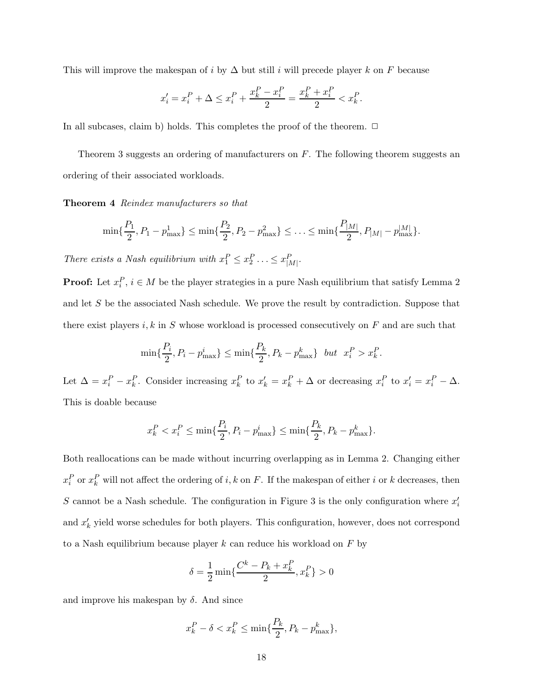This will improve the makespan of i by  $\Delta$  but still i will precede player k on F because

$$
x'_{i} = x_{i}^{P} + \Delta \le x_{i}^{P} + \frac{x_{k}^{P} - x_{i}^{P}}{2} = \frac{x_{k}^{P} + x_{i}^{P}}{2} < x_{k}^{P}.
$$

In all subcases, claim b) holds. This completes the proof of the theorem.  $\Box$ 

Theorem 3 suggests an ordering of manufacturers on  $F$ . The following theorem suggests an ordering of their associated workloads.

**Theorem 4** *Reindex manufacturers so that*

$$
\min\{\frac{P_1}{2}, P_1 - p_{\max}^1\} \le \min\{\frac{P_2}{2}, P_2 - p_{\max}^2\} \le \ldots \le \min\{\frac{P_{|M|}}{2}, P_{|M|} - p_{\max}^{|M|}\}.
$$

*There exists a Nash equilibrium with*  $x_1^P \le x_2^P \ldots \le x_{|M|}^P$ .

**Proof:** Let  $x_i^P$ ,  $i \in M$  be the player strategies in a pure Nash equilibrium that satisfy Lemma 2 and let S be the associated Nash schedule. We prove the result by contradiction. Suppose that there exist players  $i, k$  in S whose workload is processed consecutively on  $F$  and are such that

$$
\min\{\frac{P_i}{2}, P_i - p_{\text{max}}^i\} \le \min\{\frac{P_k}{2}, P_k - p_{\text{max}}^k\} \text{ but } x_i^P > x_k^P.
$$

Let  $\Delta = x_i^P - x_k^P$ . Consider increasing  $x_k^P$  to  $x_k' = x_k^P + \Delta$  or decreasing  $x_i^P$  to  $x_i' = x_i^P - \Delta$ . This is doable because

$$
x^P_k < x^P_i \leq \min\{\frac{P_i}{2}, P_i - p_{\max}^i\} \leq \min\{\frac{P_k}{2}, P_k - p_{\max}^k\}.
$$

Both reallocations can be made without incurring overlapping as in Lemma 2. Changing either  $x_i^P$  or  $x_k^P$  will not affect the ordering of i, k on F. If the makespan of either i or k decreases, then S cannot be a Nash schedule. The configuration in Figure 3 is the only configuration where  $x_i'$ and  $x'_{k}$  yield worse schedules for both players. This configuration, however, does not correspond to a Nash equilibrium because player  $k$  can reduce his workload on  $F$  by

$$
\delta = \frac{1}{2} \min \{ \frac{C^k - P_k + x_k^P}{2}, x_k^P \} > 0
$$

and improve his makespan by  $\delta$ . And since

$$
x_k^P - \delta < x_k^P \le \min\{\frac{P_k}{2}, P_k - p_{\text{max}}^k\},\
$$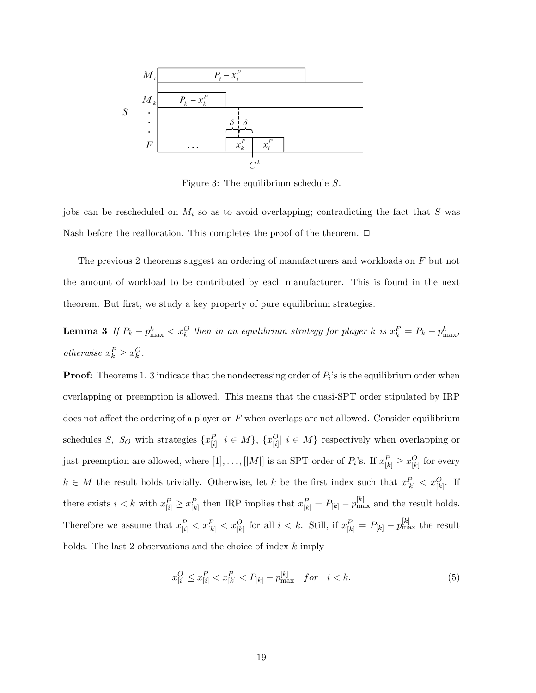

Figure 3: The equilibrium schedule S.

jobs can be rescheduled on  $M_i$  so as to avoid overlapping; contradicting the fact that S was Nash before the reallocation. This completes the proof of the theorem.  $\Box$ 

The previous 2 theorems suggest an ordering of manufacturers and workloads on F but not the amount of workload to be contributed by each manufacturer. This is found in the next theorem. But first, we study a key property of pure equilibrium strategies.

**Lemma 3** If  $P_k - p_{\text{max}}^k < x_k^O$  then in an equilibrium strategy for player k is  $x_k^P = P_k - p_{\text{max}}^k$ , *otherwise*  $x_k^P \ge x_k^O$ .

**Proof:** Theorems 1, 3 indicate that the nondecreasing order of  $P_i$ 's is the equilibrium order when overlapping or preemption is allowed. This means that the quasi-SPT order stipulated by IRP does not affect the ordering of a player on  $F$  when overlaps are not allowed. Consider equilibrium schedules S, S<sub>O</sub> with strategies  $\{x_{[i]}^P | i \in M\}$ ,  $\{x_{[i]}^O | i \in M\}$  respectively when overlapping or just preemption are allowed, where  $[1], \ldots, [|M|]$  is an SPT order of  $P_i$ 's. If  $x_{[k]}^P \ge x_{[k]}^Q$  for every  $k \in M$  the result holds trivially. Otherwise, let k be the first index such that  $x_{[k]}^P < x_{[k]}^O$ . If there exists  $i < k$  with  $x_{[i]}^P \ge x_{[k]}^P$  then IRP implies that  $x_{[k]}^P = P_{[k]} - p_{\max}^{[k]}$  and the result holds. Therefore we assume that  $x_{[i]}^P < x_{[k]}^P < x_{[k]}^O$  for all  $i < k$ . Still, if  $x_{[k]}^P = P_{[k]} - p_{\max}^{[k]}$  the result holds. The last 2 observations and the choice of index  $k$  imply

$$
x_{[i]}^O \le x_{[i]}^P < x_{[k]}^P < P_{[k]} - p_{\text{max}}^{[k]} \quad \text{for} \quad i < k. \tag{5}
$$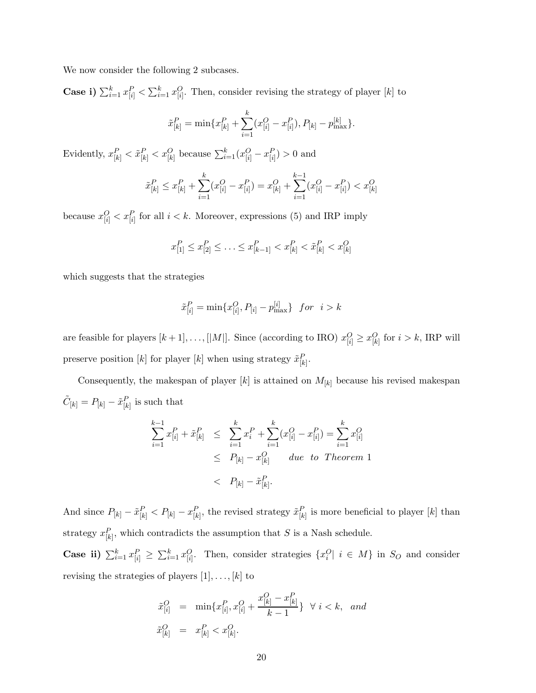We now consider the following 2 subcases.

**Case i)**  $\sum_{i=1}^{k} x_{[i]}^P < \sum_{i=1}^{k} x_{[i]}^O$ . Then, consider revising the strategy of player [k] to

$$
\tilde{x}_{[k]}^P = \min\{x_{[k]}^P + \sum_{i=1}^k (x_{[i]}^O - x_{[i]}^P), P_{[k]} - p_{\text{max}}^{[k]}\}.
$$

Evidently,  $x_{[k]}^P < \tilde{x}_{[k]}^P < x_{[k]}^O$  because  $\sum_{i=1}^k (x_{[i]}^O - x_{[i]}^P) > 0$  and

$$
\tilde{x}_{[k]}^P \le x_{[k]}^P + \sum_{i=1}^k (x_{[i]}^O - x_{[i]}^P) = x_{[k]}^O + \sum_{i=1}^{k-1} (x_{[i]}^O - x_{[i]}^P) < x_{[k]}^O
$$

because  $x_{[i]}^O < x_{[i]}^P$  for all  $i < k$ . Moreover, expressions (5) and IRP imply

$$
x_{[1]}^P \le x_{[2]}^P \le \ldots \le x_{[k-1]}^P < x_{[k]}^P < \tilde{x}_{[k]}^P < x_{[k]}^O
$$

which suggests that the strategies

$$
\tilde{x}^P_{[i]} = \min\{x^O_{[i]}, P_{[i]} - p^{[i]}_{\max}\} \ \ for \ \ i > k
$$

are feasible for players  $[k+1], \ldots, [|M|]$ . Since (according to IRO)  $x_{[i]}^O \ge x_{[k]}^O$  for  $i > k$ , IRP will preserve position [k] for player [k] when using strategy  $\tilde{x}_{[k]}^P$ .

Consequently, the makespan of player  $[k]$  is attained on  $M_{[k]}$  because his revised makespan  $\tilde{C}_{[k]} = P_{[k]} - \tilde{x}_{[k]}^P$  is such that

$$
\sum_{i=1}^{k-1} x_{[i]}^P + \tilde{x}_{[k]}^P \le \sum_{i=1}^k x_i^P + \sum_{i=1}^k (x_{[i]}^O - x_{[i]}^P) = \sum_{i=1}^k x_{[i]}^O
$$
  
  $\le P_{[k]} - x_{[k]}^O$  due to Theorem 1  
  $\le P_{[k]} - \tilde{x}_{[k]}^P.$ 

And since  $P_{[k]} - \tilde{x}_{[k]}^P < P_{[k]} - x_{[k]}^P$ , the revised strategy  $\tilde{x}_{[k]}^P$  is more beneficial to player [k] than strategy  $x_{[k]}^P$ , which contradicts the assumption that S is a Nash schedule.

**Case ii)**  $\sum_{i=1}^{k} x_{[i]}^P \ge \sum_{i=1}^{k} x_{[i]}^O$ . Then, consider strategies  $\{x_i^O | i \in M\}$  in  $S_O$  and consider revising the strategies of players  $[1], \ldots, [k]$  to

$$
\begin{array}{rcl}\n\tilde{x}_{[i]}^O & = & \min\{x_{[i]}^P, x_{[i]}^O + \frac{x_{[k]}^O - x_{[k]}^P}{k - 1}\} \quad \forall \ i < k, \ \text{and} \\
\tilde{x}_{[k]}^O & = & x_{[k]}^P < x_{[k]}^O.\n\end{array}
$$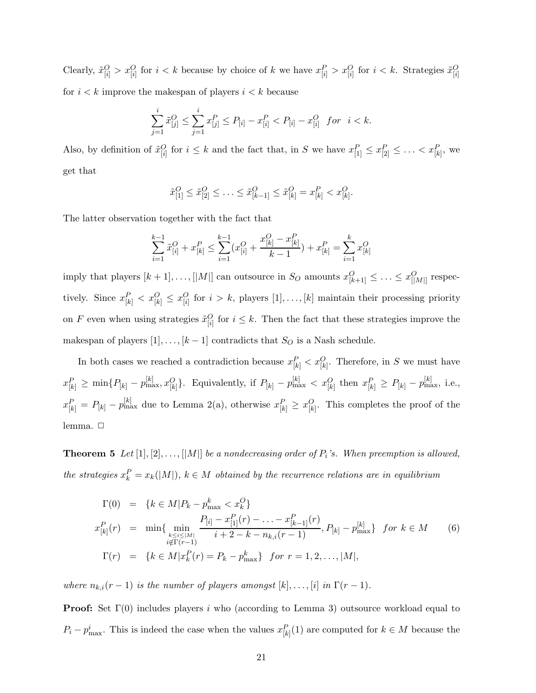Clearly,  $\tilde{x}_{[i]}^O > x_{[i]}^O$  for  $i < k$  because by choice of k we have  $x_{[i]}^P > x_{[i]}^O$  for  $i < k$ . Strategies  $\tilde{x}_{[i]}^O$ for  $i < k$  improve the makespan of players  $i < k$  because

$$
\sum_{j=1}^{i} \tilde{x}_{[j]}^{O} \le \sum_{j=1}^{i} x_{[j]}^{P} \le P_{[i]} - x_{[i]}^{P} < P_{[i]} - x_{[i]}^{O} \quad \text{for} \quad i < k.
$$

Also, by definition of  $\tilde{x}_{[i]}^O$  for  $i \leq k$  and the fact that, in S we have  $x_{[1]}^P \leq x_{[2]}^P \leq \ldots < x_{[k]}^P$ , we get that

$$
\tilde{x}_{[1]}^O \leq \tilde{x}_{[2]}^O \leq \ldots \leq \tilde{x}_{[k-1]}^O \leq \tilde{x}_{[k]}^O = x_{[k]}^P < x_{[k]}^O.
$$

The latter observation together with the fact that

$$
\sum_{i=1}^{k-1} \tilde{x}_{[i]}^O + x_{[k]}^P \le \sum_{i=1}^{k-1} (x_{[i]}^O + \frac{x_{[k]}^O - x_{[k]}^P}{k-1}) + x_{[k]}^P = \sum_{i=1}^k x_{[k]}^O
$$

imply that players  $[k+1], \ldots, [|M|]$  can outsource in  $S_O$  amounts  $x_{[k+1]}^O \leq \ldots \leq x_{[|M|]}^O$  respectively. Since  $x_{[k]}^P < x_{[k]}^O \leq x_{[i]}^O$  for  $i > k$ , players  $[1], \ldots, [k]$  maintain their processing priority on F even when using strategies  $\tilde{x}_{[i]}^O$  for  $i \leq k$ . Then the fact that these strategies improve the makespan of players  $[1],..., [k-1]$  contradicts that  $S_O$  is a Nash schedule.

In both cases we reached a contradiction because  $x_{[k]}^P < x_{[k]}^O$ . Therefore, in S we must have  $x_{[k]}^P \geq \min\{P_{[k]} - p_{\text{max}}^{[k]}, x_{[k]}^O\}$ . Equivalently, if  $P_{[k]} - p_{\text{max}}^{[k]} < x_{[k]}^O$  then  $x_{[k]}^P \geq P_{[k]} - p_{\text{max}}^{[k]}$ , i.e.,  $x_{[k]}^P = P_{[k]} - p_{\text{max}}^{[k]}$  due to Lemma 2(a), otherwise  $x_{[k]}^P \ge x_{[k]}^O$ . This completes the proof of the lemma.  $\square$ 

**Theorem 5** *Let*  $[1], [2], \ldots, [|M|]$  *be a nondecreasing order of*  $P_i$ *'s. When preemption is allowed, the strategies*  $x_k^P = x_k(|M|)$ ,  $k \in M$  *obtained by the recurrence relations are in equilibrium* 

$$
\Gamma(0) = \{k \in M | P_k - p_{\max}^k < x_k^O\}
$$
\n
$$
x_{[k]}^P(r) = \min\{\min_{\substack{k \le i \le |M| \\ i \notin \Gamma(r-1)}} \frac{P_{[i]} - x_{[1]}^P(r) - \ldots - x_{[k-1]}^P(r)}{i + 2 - k - n_{k,i}(r - 1)}, P_{[k]} - p_{\max}^{|k|}\} \quad \text{for } k \in M \tag{6}
$$
\n
$$
\Gamma(r) = \{k \in M | x_k^P(r) = P_k - p_{\max}^k\} \quad \text{for } r = 1, 2, \ldots, |M|,
$$

*where*  $n_{k,i}(r-1)$  *is the number of players amongst*  $[k], \ldots, [i]$  *in*  $\Gamma(r-1)$ *.* 

**Proof:** Set Γ(0) includes players i who (according to Lemma 3) outsource workload equal to  $P_i - p_{\text{max}}^i$ . This is indeed the case when the values  $x_{[k]}^P(1)$  are computed for  $k \in M$  because the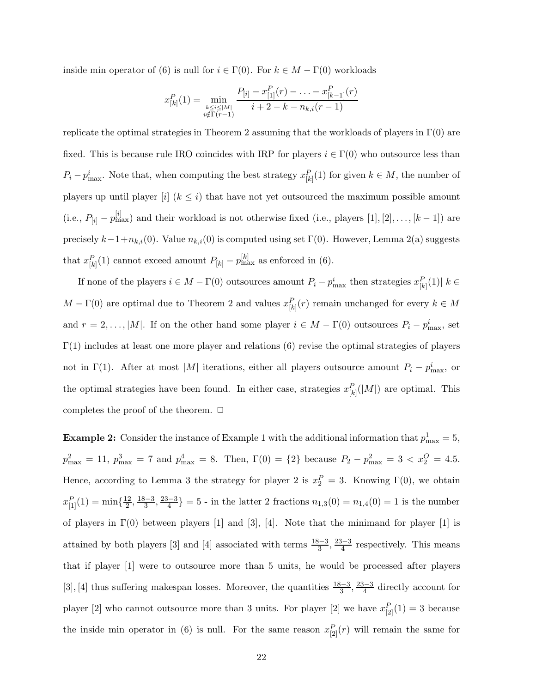inside min operator of (6) is null for  $i \in \Gamma(0)$ . For  $k \in M - \Gamma(0)$  workloads

$$
x_{[k]}^P(1) = \min_{\substack{k \le i \le |M| \\ i \notin \Gamma(r-1)}} \frac{P_{[i]} - x_{[1]}^P(r) - \ldots - x_{[k-1]}^P(r)}{i + 2 - k - n_{k,i}(r-1)}
$$

replicate the optimal strategies in Theorem 2 assuming that the workloads of players in  $\Gamma(0)$  are fixed. This is because rule IRO coincides with IRP for players  $i \in \Gamma(0)$  who outsource less than  $P_i - p_{\text{max}}^i$ . Note that, when computing the best strategy  $x_{[k]}^P(1)$  for given  $k \in M$ , the number of players up until player [i]  $(k \leq i)$  that have not yet outsourced the maximum possible amount (i.e.,  $P_{[i]} - p_{\text{max}}^{[i]}$ ) and their workload is not otherwise fixed (i.e., players [1], [2],..., [k – 1]) are precisely  $k-1+n_{k,i}(0)$ . Value  $n_{k,i}(0)$  is computed using set  $\Gamma(0)$ . However, Lemma 2(a) suggests that  $x_{[k]}^P(1)$  cannot exceed amount  $P_{[k]} - p_{\max}^{[k]}$  as enforced in (6).

If none of the players  $i \in M - \Gamma(0)$  outsources amount  $P_i - p_{\text{max}}^i$  then strategies  $x_{[k]}^P(1)$   $k \in$  $M - \Gamma(0)$  are optimal due to Theorem 2 and values  $x_{[k]}^P(r)$  remain unchanged for every  $k \in M$ and  $r = 2, \ldots, |M|$ . If on the other hand some player  $i \in M - \Gamma(0)$  outsources  $P_i - p_{\text{max}}^i$ , set  $\Gamma(1)$  includes at least one more player and relations (6) revise the optimal strategies of players not in Γ(1). After at most |M| iterations, either all players outsource amount  $P_i - p_{\text{max}}^i$ , or the optimal strategies have been found. In either case, strategies  $x_{[k]}^P(|M|)$  are optimal. This completes the proof of the theorem.  $\Box$ 

**Example 2:** Consider the instance of Example 1 with the additional information that  $p_{\text{max}}^1 = 5$ ,  $p_{\text{max}}^2 = 11$ ,  $p_{\text{max}}^3 = 7$  and  $p_{\text{max}}^4 = 8$ . Then,  $\Gamma(0) = \{2\}$  because  $P_2 - p_{\text{max}}^2 = 3 < x_2^O = 4.5$ . Hence, according to Lemma 3 the strategy for player 2 is  $x_2^P = 3$ . Knowing  $\Gamma(0)$ , we obtain  $x_{[1]}^P(1) = \min\{\frac{12}{2}, \frac{18-3}{3}, \frac{23-3}{4}\} = 5$  - in the latter 2 fractions  $n_{1,3}(0) = n_{1,4}(0) = 1$  is the number of players in  $\Gamma(0)$  between players [1] and [3], [4]. Note that the minimand for player [1] is attained by both players [3] and [4] associated with terms  $\frac{18-3}{3}, \frac{23-3}{4}$  respectively. This means that if player [1] were to outsource more than 5 units, he would be processed after players [3], [4] thus suffering makespan losses. Moreover, the quantities  $\frac{18-3}{3}, \frac{23-3}{4}$  directly account for player [2] who cannot outsource more than 3 units. For player [2] we have  $x_{[2]}^P(1) = 3$  because the inside min operator in (6) is null. For the same reason  $x_{[2]}^P(r)$  will remain the same for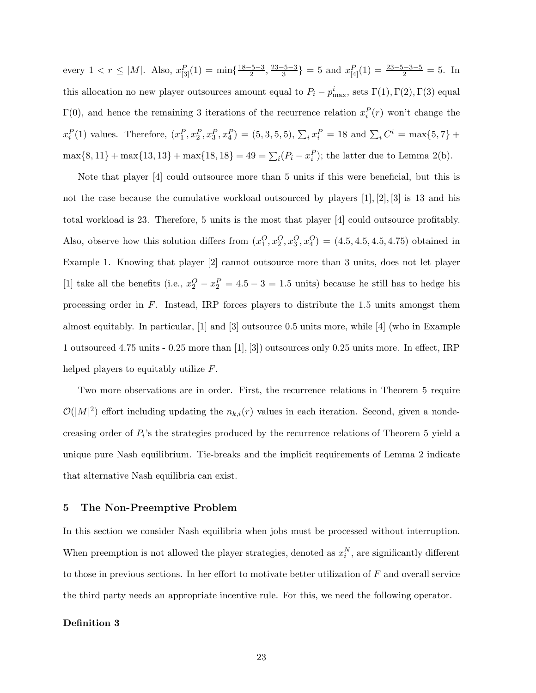every  $1 < r \leq |M|$ . Also,  $x_{[3]}^P(1) = \min\{\frac{18-5-3}{2}, \frac{23-5-3}{3}\} = 5$  and  $x_{[4]}^P(1) = \frac{23-5-3-5}{2} = 5$ . In this allocation no new player outsources amount equal to  $P_i - p_{\text{max}}^i$ , sets  $\Gamma(1), \Gamma(2), \Gamma(3)$  equal  $\Gamma(0)$ , and hence the remaining 3 iterations of the recurrence relation  $x_i^P(r)$  won't change the  $x_i^P(1)$  values. Therefore,  $(x_1^P, x_2^P, x_3^P, x_4^P) = (5, 3, 5, 5), \sum_i x_i^P = 18$  and  $\sum_i C^i = \max\{5, 7\} +$  $\max\{8, 11\} + \max\{13, 13\} + \max\{18, 18\} = 49 = \sum_i (P_i - x_i^P);$  the latter due to Lemma 2(b).

Note that player [4] could outsource more than 5 units if this were beneficial, but this is not the case because the cumulative workload outsourced by players  $[1], [2], [3]$  is 13 and his total workload is 23. Therefore, 5 units is the most that player [4] could outsource profitably. Also, observe how this solution differs from  $(x_1^O, x_2^O, x_3^O, x_4^O) = (4.5, 4.5, 4.5, 4.75)$  obtained in Example 1. Knowing that player [2] cannot outsource more than 3 units, does not let player [1] take all the benefits (i.e.,  $x_2^O - x_2^P = 4.5 - 3 = 1.5$  units) because he still has to hedge his processing order in F. Instead, IRP forces players to distribute the 1.5 units amongst them almost equitably. In particular, [1] and [3] outsource 0.5 units more, while [4] (who in Example 1 outsourced 4.75 units - 0.25 more than [1], [3]) outsources only 0.25 units more. In effect, IRP helped players to equitably utilize F.

Two more observations are in order. First, the recurrence relations in Theorem 5 require  $\mathcal{O}(|M|^2)$  effort including updating the  $n_{k,i}(r)$  values in each iteration. Second, given a nondecreasing order of  $P_i$ 's the strategies produced by the recurrence relations of Theorem 5 yield a unique pure Nash equilibrium. Tie-breaks and the implicit requirements of Lemma 2 indicate that alternative Nash equilibria can exist.

# **5 The Non-Preemptive Problem**

In this section we consider Nash equilibria when jobs must be processed without interruption. When preemption is not allowed the player strategies, denoted as  $x_i^N$ , are significantly different to those in previous sections. In her effort to motivate better utilization of F and overall service the third party needs an appropriate incentive rule. For this, we need the following operator.

#### **Definition 3**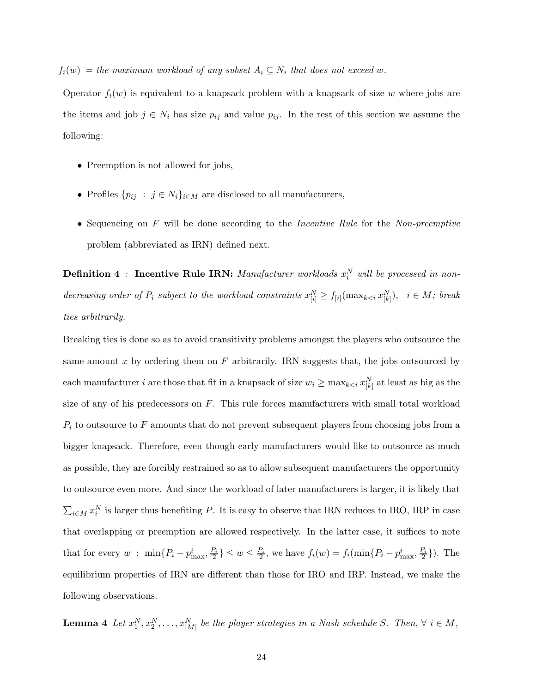$f_i(w) = the maximum workload of any subset A_i \subseteq N_i that does not exceed w.$ 

Operator  $f_i(w)$  is equivalent to a knapsack problem with a knapsack of size w where jobs are the items and job  $j \in N_i$  has size  $p_{ij}$  and value  $p_{ij}$ . In the rest of this section we assume the following:

- Preemption is not allowed for jobs,
- Profiles  $\{p_{ij} : j \in N_i\}_{i \in M}$  are disclosed to all manufacturers,
- Sequencing on F will be done according to the *Incentive Rule* for the *Non-preemptive* problem (abbreviated as IRN) defined next.

**Definition 4** : **Incentive Rule IRN:** *Manufacturer workloads*  $x_i^N$  *will be processed in non* $decreasing\ order\ of\ P_i\ subject\ to\ the\ workload\ constraints\ x_{[i]}^N \ge f_{[i]}(\max_{k \le i} x_{[k]}^N),\ \ i \in M;\ break$ *ties arbitrarily.*

Breaking ties is done so as to avoid transitivity problems amongst the players who outsource the same amount x by ordering them on  $F$  arbitrarily. IRN suggests that, the jobs outsourced by each manufacturer *i* are those that fit in a knapsack of size  $w_i \ge \max_{k \le i} x_{[k]}^N$  at least as big as the size of any of his predecessors on  $F$ . This rule forces manufacturers with small total workload  $P_i$  to outsource to F amounts that do not prevent subsequent players from choosing jobs from a bigger knapsack. Therefore, even though early manufacturers would like to outsource as much as possible, they are forcibly restrained so as to allow subsequent manufacturers the opportunity to outsource even more. And since the workload of later manufacturers is larger, it is likely that  $\sum_{i\in M} x_i^N$  is larger thus benefiting P. It is easy to observe that IRN reduces to IRO, IRP in case that overlapping or preemption are allowed respectively. In the latter case, it suffices to note that for every  $w$ :  $\min\{P_i - p_{\text{max}}^i, \frac{P_i}{2}\} \leq w \leq \frac{P_i}{2}$ , we have  $f_i(w) = f_i(\min\{P_i - p_{\text{max}}^i, \frac{P_i}{2}\})$ . The equilibrium properties of IRN are different than those for IRO and IRP. Instead, we make the following observations.

**Lemma 4** *Let*  $x_1^N, x_2^N, \ldots, x_{|M|}^N$  *be the player strategies in a Nash schedule S. Then,*  $\forall i \in M$ *,*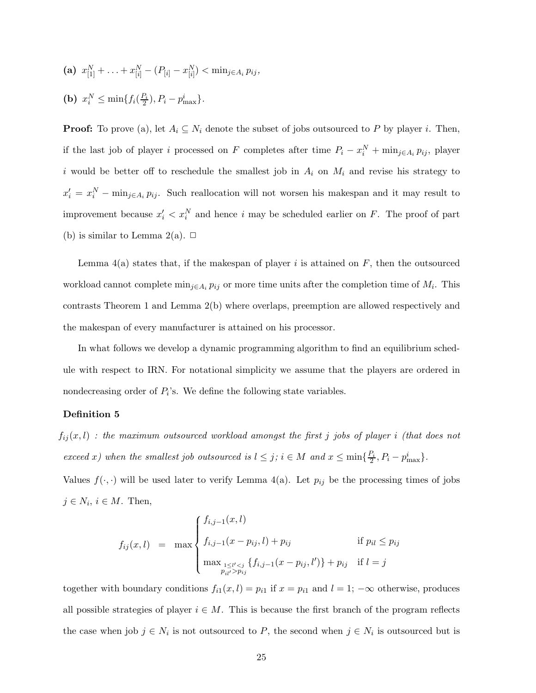- (a)  $x_{[1]}^N + \ldots + x_{[i]}^N (P_{[i]} x_{[i]}^N) < \min_{j \in A_i} p_{ij},$
- (**b**)  $x_i^N \le \min\{f_i(\frac{P_i}{2}), P_i p_{\text{max}}^i\}.$

**Proof:** To prove (a), let  $A_i \subseteq N_i$  denote the subset of jobs outsourced to P by player i. Then, if the last job of player *i* processed on F completes after time  $P_i - x_i^N + \min_{j \in A_i} p_{ij}$ , player i would be better off to reschedule the smallest job in  $A_i$  on  $M_i$  and revise his strategy to  $x'_i = x_i^N - \min_{j \in A_i} p_{ij}$ . Such reallocation will not worsen his makespan and it may result to improvement because  $x_i' < x_i^N$  and hence i may be scheduled earlier on F. The proof of part (b) is similar to Lemma 2(a).  $\Box$ 

Lemma  $4(a)$  states that, if the makespan of player i is attained on F, then the outsourced workload cannot complete min<sub>j∈A<sub>i</sub>  $p_{ij}$  or more time units after the completion time of  $M_i$ . This</sub> contrasts Theorem 1 and Lemma 2(b) where overlaps, preemption are allowed respectively and the makespan of every manufacturer is attained on his processor.

In what follows we develop a dynamic programming algorithm to find an equilibrium schedule with respect to IRN. For notational simplicity we assume that the players are ordered in nondecreasing order of  $P_i$ 's. We define the following state variables.

#### **Definition 5**

fij (x, l) *: the maximum outsourced workload amongst the first* j *jobs of player* i *(that does not exceed* x*)* when the smallest job outsourced is  $l \leq j$ ;  $i \in M$  and  $x \leq \min\{\frac{P_i}{2}, P_i - p_{\max}^i\}$ .

Values  $f(\cdot, \cdot)$  will be used later to verify Lemma 4(a). Let  $p_{ij}$  be the processing times of jobs  $j \in N_i$ ,  $i \in M$ . Then,

$$
f_{ij}(x, l) = \max \begin{cases} f_{i,j-1}(x, l) \\ f_{i,j-1}(x - p_{ij}, l) + p_{ij} & \text{if } p_{il} \leq p_{ij} \\ \max_{\substack{1 \leq l' < j \\ p_{il'} > p_{ij}}} \{f_{i,j-1}(x - p_{ij}, l')\} + p_{ij} & \text{if } l = j \end{cases}
$$

together with boundary conditions  $f_{i1}(x, l) = p_{i1}$  if  $x = p_{i1}$  and  $l = 1$ ;  $-\infty$  otherwise, produces all possible strategies of player  $i \in M$ . This is because the first branch of the program reflects the case when job  $j \in N_i$  is not outsourced to P, the second when  $j \in N_i$  is outsourced but is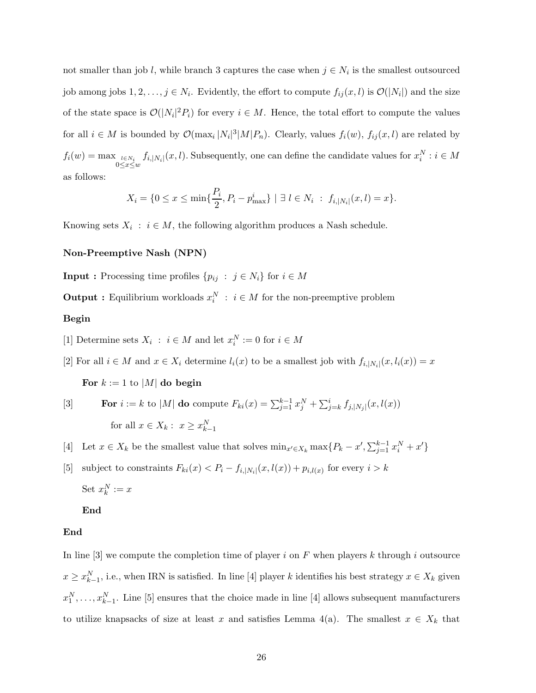not smaller than job l, while branch 3 captures the case when  $j \in N_i$  is the smallest outsourced job among jobs  $1, 2, ..., j \in N_i$ . Evidently, the effort to compute  $f_{ij}(x, l)$  is  $\mathcal{O}(|N_i|)$  and the size of the state space is  $\mathcal{O}(|N_i|^2 P_i)$  for every  $i \in M$ . Hence, the total effort to compute the values for all  $i \in M$  is bounded by  $\mathcal{O}(\max_i |N_i|^3 |M| P_n)$ . Clearly, values  $f_i(w)$ ,  $f_{ij}(x, l)$  are related by  $f_i(w) = \max_{l \in N_i} f_l(w)$  $\int_{0 \le x \le w} f_{i,|N_i|}(x,l)$ . Subsequently, one can define the candidate values for  $x_i^N : i \in M$ as follows:

$$
X_i = \{0 \le x \le \min\{\frac{P_i}{2}, P_i - p_{\text{max}}^i\} \mid \exists l \in N_i : f_{i,|N_i|}(x,l) = x\}.
$$

Knowing sets  $X_i : i \in M$ , the following algorithm produces a Nash schedule.

#### **Non-Preemptive Nash (NPN)**

**Input :** Processing time profiles  $\{p_{ij} : j \in N_i\}$  for  $i \in M$ 

**Output :** Equilibrium workloads  $x_i^N$  :  $i \in M$  for the non-preemptive problem

#### **Begin**

[1] Determine sets  $X_i : i \in M$  and let  $x_i^N := 0$  for  $i \in M$ 

[2] For all  $i \in M$  and  $x \in X_i$  determine  $l_i(x)$  to be a smallest job with  $f_{i,|N_i|}(x, l_i(x)) = x$ 

For  $k := 1$  to |M| **do begin** 

[3] **For** 
$$
i := k
$$
 to  $|M|$  **do** compute  $F_{ki}(x) = \sum_{j=1}^{k-1} x_j^N + \sum_{j=k}^{i} f_{j,|N_j|}(x, l(x))$   
for all  $x \in X_k : x \ge x_{k-1}^N$ 

[4] Let  $x \in X_k$  be the smallest value that solves  $\min_{x' \in X_k} \max\{P_k - x', \sum_{j=1}^{k-1} x_i^N + x'\}$ 

[5] subject to constraints  $F_{ki}(x) < P_i - f_{i,|N_i|}(x, l(x)) + p_{i,l(x)}$  for every  $i > k$ Set  $x_k^N := x$ 

# **End**

#### **End**

In line [3] we compute the completion time of player i on F when players k through i outsource  $x \ge x_{k-1}^N$ , i.e., when IRN is satisfied. In line [4] player k identifies his best strategy  $x \in X_k$  given  $x_1^N, \ldots, x_{k-1}^N$ . Line [5] ensures that the choice made in line [4] allows subsequent manufacturers to utilize knapsacks of size at least x and satisfies Lemma 4(a). The smallest  $x \in X_k$  that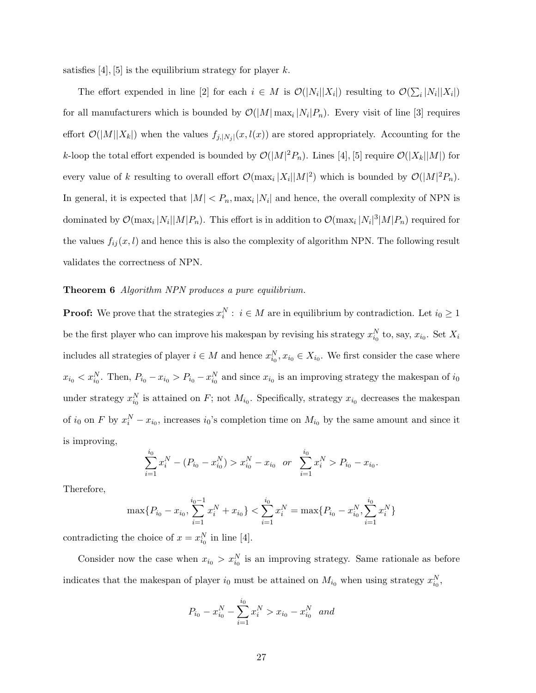satisfies  $[4]$ ,  $[5]$  is the equilibrium strategy for player k.

The effort expended in line [2] for each  $i \in M$  is  $\mathcal{O}(|N_i||X_i|)$  resulting to  $\mathcal{O}(\sum_i |N_i||X_i|)$ for all manufacturers which is bounded by  $\mathcal{O}(|M| \max_i |N_i|P_n)$ . Every visit of line [3] requires effort  $\mathcal{O}(|M||X_k|)$  when the values  $f_{j,|N_j|}(x,l(x))$  are stored appropriately. Accounting for the k-loop the total effort expended is bounded by  $\mathcal{O}(|M|^2 P_n)$ . Lines [4], [5] require  $\mathcal{O}(|X_k||M|)$  for every value of k resulting to overall effort  $\mathcal{O}(\max_i |X_i||M|^2)$  which is bounded by  $\mathcal{O}(|M|^2 P_n)$ . In general, it is expected that  $|M| < P_n$ , max<sub>i</sub>  $|N_i|$  and hence, the overall complexity of NPN is dominated by  $\mathcal{O}(\max_i |N_i||M|P_n)$ . This effort is in addition to  $\mathcal{O}(\max_i |N_i|^3|M|P_n)$  required for the values  $f_{ij}(x, l)$  and hence this is also the complexity of algorithm NPN. The following result validates the correctness of NPN.

#### **Theorem 6** *Algorithm NPN produces a pure equilibrium.*

**Proof:** We prove that the strategies  $x_i^N : i \in M$  are in equilibrium by contradiction. Let  $i_0 \geq 1$ be the first player who can improve his makespan by revising his strategy  $x_{i_0}^N$  to, say,  $x_{i_0}$ . Set  $X_i$ includes all strategies of player  $i \in M$  and hence  $x_{i_0}^N, x_{i_0} \in X_{i_0}$ . We first consider the case where  $x_{i_0} < x_{i_0}^N$ . Then,  $P_{i_0} - x_{i_0} > P_{i_0} - x_{i_0}^N$  and since  $x_{i_0}$  is an improving strategy the makespan of  $i_0$ under strategy  $x_{i_0}^N$  is attained on F; not  $M_{i_0}$ . Specifically, strategy  $x_{i_0}$  decreases the makespan of  $i_0$  on F by  $x_i^N - x_{i_0}$ , increases  $i_0$ 's completion time on  $M_{i_0}$  by the same amount and since it is improving,

$$
\sum_{i=1}^{i_0} x_i^N - (P_{i_0} - x_{i_0}^N) > x_{i_0}^N - x_{i_0} \quad \text{or} \quad \sum_{i=1}^{i_0} x_i^N > P_{i_0} - x_{i_0}.
$$

Therefore,

$$
\max\{P_{i_0} - x_{i_0}, \sum_{i=1}^{i_0 - 1} x_i^N + x_{i_0}\} < \sum_{i=1}^{i_0} x_i^N = \max\{P_{i_0} - x_{i_0}^N, \sum_{i=1}^{i_0} x_i^N\}
$$

contradicting the choice of  $x = x_{i_0}^N$  in line [4].

Consider now the case when  $x_{i_0} > x_{i_0}^N$  is an improving strategy. Same rationale as before indicates that the makespan of player  $i_0$  must be attained on  $M_{i_0}$  when using strategy  $x_{i_0}^N$ ,

$$
P_{i_0} - x_{i_0}^N - \sum_{i=1}^{i_0} x_i^N > x_{i_0} - x_{i_0}^N
$$
 and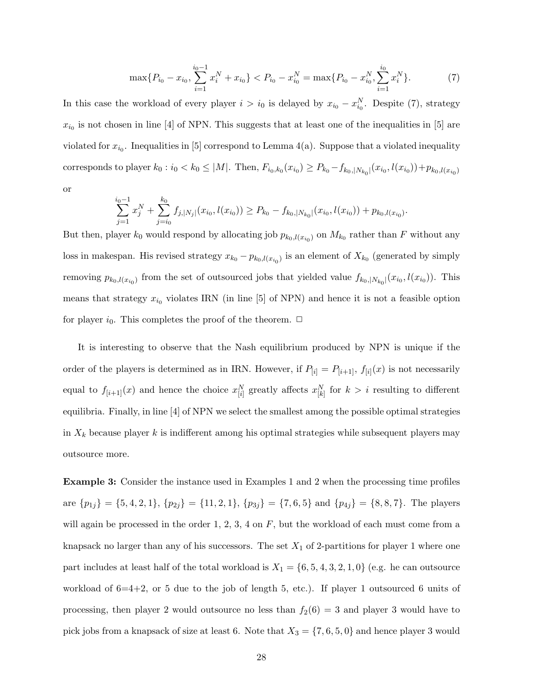$$
\max\{P_{i_0} - x_{i_0}, \sum_{i=1}^{i_0 - 1} x_i^N + x_{i_0}\} < P_{i_0} - x_{i_0}^N = \max\{P_{i_0} - x_{i_0}^N, \sum_{i=1}^{i_0} x_i^N\}.\tag{7}
$$

In this case the workload of every player  $i>i_0$  is delayed by  $x_{i_0} - x_{i_0}^N$ . Despite (7), strategy  $x_{i_0}$  is not chosen in line [4] of NPN. This suggests that at least one of the inequalities in [5] are violated for  $x_{i_0}$ . Inequalities in [5] correspond to Lemma 4(a). Suppose that a violated inequality corresponds to player  $k_0 : i_0 < k_0 \leq |M|$ . Then,  $F_{i_0,k_0}(x_{i_0}) \geq P_{k_0} - f_{k_0,|N_{k_0}|}(x_{i_0},l(x_{i_0})) + p_{k_0,l(x_{i_0})}$ or

$$
\sum_{j=1}^{i_0-1} x_j^N + \sum_{j=i_0}^{k_0} f_{j,|N_j|}(x_{i_0},l(x_{i_0})) \ge P_{k_0} - f_{k_0,|N_{k_0}|}(x_{i_0},l(x_{i_0})) + p_{k_0,l(x_{i_0})}.
$$

But then, player  $k_0$  would respond by allocating job  $p_{k_0,l(x_{i_0})}$  on  $M_{k_0}$  rather than F without any loss in makespan. His revised strategy  $x_{k_0} - p_{k_0,l(x_{i_0})}$  is an element of  $X_{k_0}$  (generated by simply removing  $p_{k_0,l(x_{i_0})}$  from the set of outsourced jobs that yielded value  $f_{k_0,|N_{k_0}|}(x_{i_0},l(x_{i_0}))$ . This means that strategy  $x_{i_0}$  violates IRN (in line [5] of NPN) and hence it is not a feasible option for player  $i_0$ . This completes the proof of the theorem.  $\Box$ 

It is interesting to observe that the Nash equilibrium produced by NPN is unique if the order of the players is determined as in IRN. However, if  $P_{[i]} = P_{[i+1]}$ ,  $f_{[i]}(x)$  is not necessarily equal to  $f_{[i+1]}(x)$  and hence the choice  $x_{[i]}^N$  greatly affects  $x_{[k]}^N$  for  $k>i$  resulting to different equilibria. Finally, in line [4] of NPN we select the smallest among the possible optimal strategies in  $X_k$  because player k is indifferent among his optimal strategies while subsequent players may outsource more.

**Example 3:** Consider the instance used in Examples 1 and 2 when the processing time profiles are  $\{p_{1j}\} = \{5, 4, 2, 1\}, \{p_{2j}\} = \{11, 2, 1\}, \{p_{3j}\} = \{7, 6, 5\}$  and  $\{p_{4j}\} = \{8, 8, 7\}.$  The players will again be processed in the order 1, 2, 3, 4 on  $F$ , but the workload of each must come from a knapsack no larger than any of his successors. The set  $X_1$  of 2-partitions for player 1 where one part includes at least half of the total workload is  $X_1 = \{6, 5, 4, 3, 2, 1, 0\}$  (e.g. he can outsource workload of  $6=4+2$ , or 5 due to the job of length 5, etc.). If player 1 outsourced 6 units of processing, then player 2 would outsource no less than  $f_2(6) = 3$  and player 3 would have to pick jobs from a knapsack of size at least 6. Note that  $X_3 = \{7, 6, 5, 0\}$  and hence player 3 would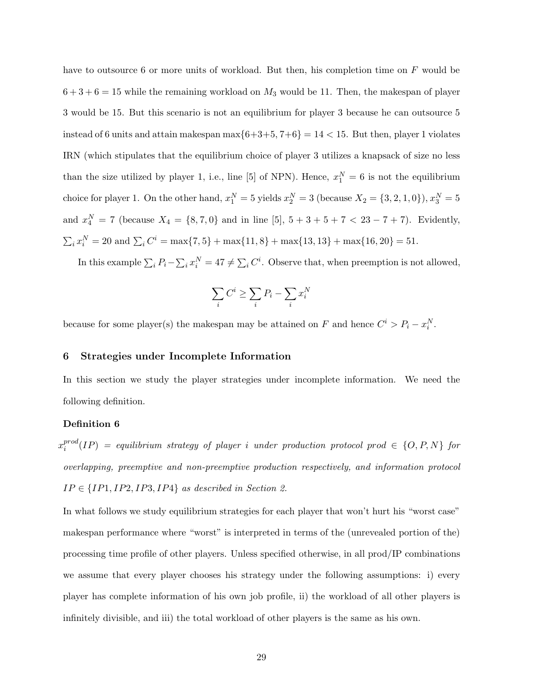have to outsource 6 or more units of workload. But then, his completion time on F would be  $6 + 3 + 6 = 15$  while the remaining workload on  $M_3$  would be 11. Then, the makespan of player 3 would be 15. But this scenario is not an equilibrium for player 3 because he can outsource 5 instead of 6 units and attain makespan  $\max\{6+3+5, 7+6\} = 14 < 15$ . But then, player 1 violates IRN (which stipulates that the equilibrium choice of player 3 utilizes a knapsack of size no less than the size utilized by player 1, i.e., line [5] of NPN). Hence,  $x_1^N = 6$  is not the equilibrium choice for player 1. On the other hand,  $x_1^N = 5$  yields  $x_2^N = 3$  (because  $X_2 = \{3, 2, 1, 0\}$ ),  $x_3^N = 5$ and  $x_4^N = 7$  (because  $X_4 = \{8, 7, 0\}$  and in line [5],  $5 + 3 + 5 + 7 < 23 - 7 + 7$ ). Evidently,  $\sum_i x_i^N = 20$  and  $\sum_i C^i = \max\{7, 5\} + \max\{11, 8\} + \max\{13, 13\} + \max\{16, 20\} = 51.$ 

In this example  $\sum_i P_i - \sum_i x_i^N = 47 \neq \sum_i C^i$ . Observe that, when preemption is not allowed,

$$
\sum_i C^i \ge \sum_i P_i - \sum_i x_i^N
$$

because for some player(s) the makespan may be attained on F and hence  $C^i > P_i - x_i^N$ .

# **6 Strategies under Incomplete Information**

In this section we study the player strategies under incomplete information. We need the following definition.

# **Definition 6**

 $x_i^{prod}(IP)$  = equilibrium strategy of player i under production protocol prod  $\in \{O, P, N\}$  for *overlapping, preemptive and non-preemptive production respectively, and information protocol*  $IP \in \{IP1, IP2, IP3, IP4\}$  *as described in Section 2.* 

In what follows we study equilibrium strategies for each player that won't hurt his "worst case" makespan performance where "worst" is interpreted in terms of the (unrevealed portion of the) processing time profile of other players. Unless specified otherwise, in all prod/IP combinations we assume that every player chooses his strategy under the following assumptions: i) every player has complete information of his own job profile, ii) the workload of all other players is infinitely divisible, and iii) the total workload of other players is the same as his own.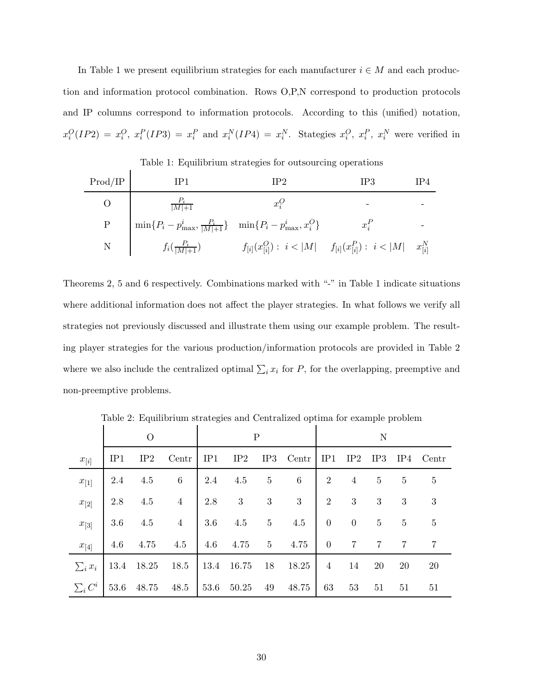In Table 1 we present equilibrium strategies for each manufacturer  $i \in M$  and each production and information protocol combination. Rows O,P,N correspond to production protocols and IP columns correspond to information protocols. According to this (unified) notation,  $x_i^O(IP2) = x_i^O, x_i^P(IP3) = x_i^P$  and  $x_i^N(IP4) = x_i^N$ . Stategies  $x_i^O, x_i^P, x_i^N$  were verified in

Table 1: Equilibrium strategies for outsourcing operations

| Prod/IP                                   | IP1                                                                                | IP <sub>2</sub>                                                                                  | IP3     | IP4 |
|-------------------------------------------|------------------------------------------------------------------------------------|--------------------------------------------------------------------------------------------------|---------|-----|
|                                           | $\frac{P_i}{ M +1}$                                                                | $x_i^O$                                                                                          |         |     |
| P                                         | $\min\{P_i - p_{\max}^i, \frac{P_i}{ M +1}\}\ \ \ \min\{P_i - p_{\max}^i, x_i^O\}$ |                                                                                                  | $x_i^F$ |     |
| $N \begin{array}{ccc} \hline \end{array}$ |                                                                                    | $f_i(\frac{P_i}{ M +1})$ $f_{[i]}(x_{[i]}^O): i <  M $ $f_{[i]}(x_{[i]}^P): i <  M $ $x_{[i]}^N$ |         |     |

Theorems 2, 5 and 6 respectively. Combinations marked with "-" in Table 1 indicate situations where additional information does not affect the player strategies. In what follows we verify all strategies not previously discussed and illustrate them using our example problem. The resulting player strategies for the various production/information protocols are provided in Table 2 where we also include the centralized optimal  $\sum_i x_i$  for P, for the overlapping, preemptive and non-preemptive problems.

|              | $\theta$ |            |                            | Ρ        |            |                 | N            |                |                  |                  |                |                |
|--------------|----------|------------|----------------------------|----------|------------|-----------------|--------------|----------------|------------------|------------------|----------------|----------------|
| $x_{[i]}$    | IP1      | IP2        | Centr                      | IP1      | IP2        | IP3             | Centr        | IP1            | IP2              | IP3              |                | IP4 Centr      |
| $x_{[1]}$    | 2.4      | 4.5        | 6                          | 2.4      | 4.5        | $\overline{5}$  | $6\,$        | $\overline{2}$ | $\overline{4}$   | $\overline{5}$   | $\overline{5}$ | $\overline{5}$ |
| $x_{[2]}$    | 2.8      | $4.5\,$    | $\overline{4}$             | 2.8      | $\sqrt{3}$ | $3\phantom{.0}$ | $\mathbf{3}$ | 2              | $\boldsymbol{3}$ | $\boldsymbol{3}$ | 3              | 3              |
| $x_{[3]}$    | 3.6      | 4.5        | $\overline{4}$             | 3.6      | 4.5        | $5\degree$      | 4.5          | $\overline{0}$ | $\overline{0}$   | $\bf 5$          | $\bf 5$        | $\overline{5}$ |
| $x_{[4]}$    | 4.6      | 4.75       | 4.5                        | 4.6 4.75 |            | 5 <sub>5</sub>  | 4.75         | $\overline{0}$ | $\overline{7}$   | $\overline{7}$   | $\overline{7}$ |                |
| $\sum_i x_i$ |          | 13.4 18.25 | 18.5                       |          | 13.4 16.75 | 18              | 18.25        | $\overline{4}$ | 14               | 20               | 20             | 20             |
| $\sum_i C^i$ |          |            | 53.6 48.75 48.5 53.6 50.25 |          |            | 49              | 48.75        | 63             | 53               | 51               | 51             | 51             |

Table 2: Equilibrium strategies and Centralized optima for example problem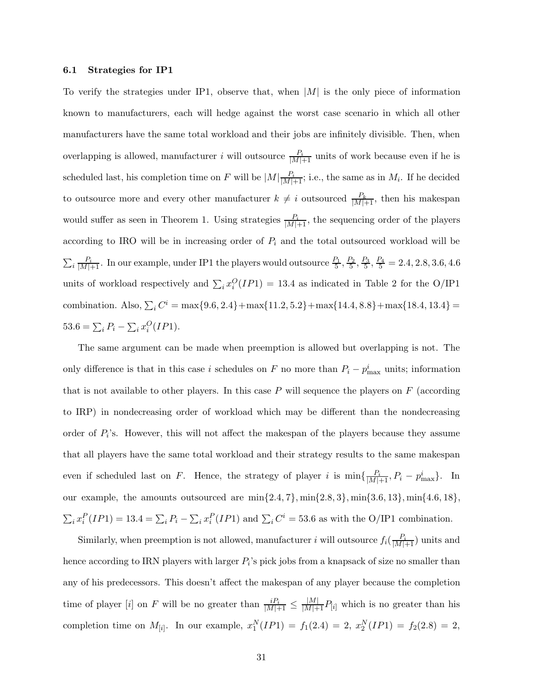#### **6.1 Strategies for IP1**

To verify the strategies under IP1, observe that, when  $|M|$  is the only piece of information known to manufacturers, each will hedge against the worst case scenario in which all other manufacturers have the same total workload and their jobs are infinitely divisible. Then, when overlapping is allowed, manufacturer *i* will outsource  $\frac{P_i}{|M|+1}$  units of work because even if he is scheduled last, his completion time on F will be  $|M|\frac{P_i}{|M|+1}$ ; i.e., the same as in  $M_i$ . If he decided to outsource more and every other manufacturer  $k \neq i$  outsourced  $\frac{P_k}{|M|+1}$ , then his makespan would suffer as seen in Theorem 1. Using strategies  $\frac{P_i}{|M|+1}$ , the sequencing order of the players according to IRO will be in increasing order of  $P_i$  and the total outsourced workload will be  $\sum_i \frac{P_i}{|M|+1}$ . In our example, under IP1 the players would outsource  $\frac{P_1}{5}$ ,  $\frac{P_2}{5}$ ,  $\frac{P_3}{5}$ ,  $\frac{P_4}{5}$  = 2.4, 2.8, 3.6, 4.6 units of workload respectively and  $\sum_i x_i^O(IP1) = 13.4$  as indicated in Table 2 for the O/IP1 combination. Also,  $\sum_i C^i = \max\{9.6, 2.4\} + \max\{11.2, 5.2\} + \max\{14.4, 8.8\} + \max\{18.4, 13.4\} =$  $53.6 = \sum_i P_i - \sum_i x_i^O (IP1).$ 

The same argument can be made when preemption is allowed but overlapping is not. The only difference is that in this case i schedules on F no more than  $P_i - p_{\text{max}}^i$  units; information that is not available to other players. In this case  $P$  will sequence the players on  $F$  (according to IRP) in nondecreasing order of workload which may be different than the nondecreasing order of  $P_i$ 's. However, this will not affect the makespan of the players because they assume that all players have the same total workload and their strategy results to the same makespan even if scheduled last on F. Hence, the strategy of player i is  $\min\{\frac{P_i}{|M|+1}, P_i - p_{\max}^i\}$ . In our example, the amounts outsourced are  $\min\{2.4, 7\}$ ,  $\min\{2.8, 3\}$ ,  $\min\{3.6, 13\}$ ,  $\min\{4.6, 18\}$ ,  $\sum_i x_i^P (IP1) = 13.4 = \sum_i P_i - \sum_i x_i^P (IP1)$  and  $\sum_i C^i = 53.6$  as with the O/IP1 combination.

Similarly, when preemption is not allowed, manufacturer i will outsource  $f_i(\frac{P_i}{|M|+1})$  units and hence according to IRN players with larger  $P_i$ 's pick jobs from a knapsack of size no smaller than any of his predecessors. This doesn't affect the makespan of any player because the completion time of player [i] on F will be no greater than  $\frac{iP_i}{|M|+1} \leq \frac{|M|}{|M|+1}P_{[i]}$  which is no greater than his completion time on  $M_{[i]}$ . In our example,  $x_1^N(IP1) = f_1(2.4) = 2$ ,  $x_2^N(IP1) = f_2(2.8) = 2$ ,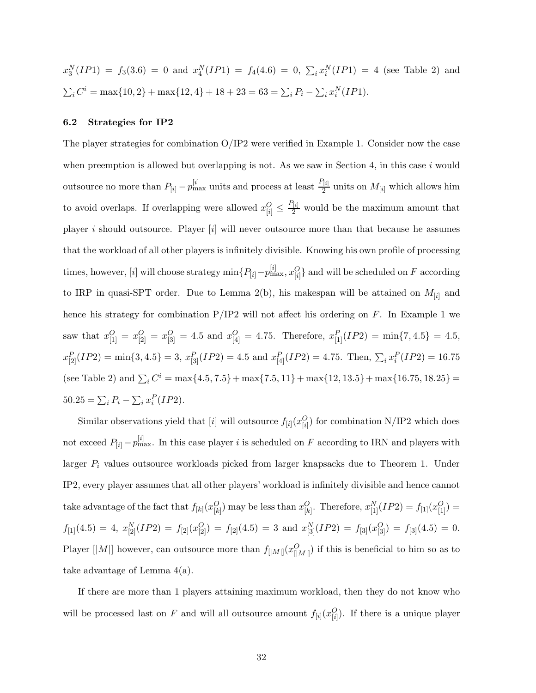$x_3^N(IP1) = f_3(3.6) = 0$  and  $x_4^N(IP1) = f_4(4.6) = 0, \sum_i x_i^N(IP1) = 4$  (see Table 2) and  $\sum_i C^i = \max\{10, 2\} + \max\{12, 4\} + 18 + 23 = 63 = \sum_i P_i - \sum_i x_i^N (IP1).$ 

#### **6.2 Strategies for IP2**

The player strategies for combination O/IP2 were verified in Example 1. Consider now the case when preemption is allowed but overlapping is not. As we saw in Section 4, in this case  $i$  would outsource no more than  $P_{[i]} - p_{\text{max}}^{[i]}$  units and process at least  $\frac{P_{[i]}}{2}$  units on  $M_{[i]}$  which allows him to avoid overlaps. If overlapping were allowed  $x_{[i]}^O \leq \frac{P_{[i]}}{2}$  would be the maximum amount that player i should outsource. Player  $[i]$  will never outsource more than that because he assumes that the workload of all other players is infinitely divisible. Knowing his own profile of processing times, however, [*i*] will choose strategy  $\min\{P_{[i]}-p_{\max}^{[i]},x_{[i]}^O\}$  and will be scheduled on F according to IRP in quasi-SPT order. Due to Lemma 2(b), his makespan will be attained on  $M_{[i]}$  and hence his strategy for combination  $P/IP2$  will not affect his ordering on F. In Example 1 we saw that  $x_{[1]}^O = x_{[2]}^O = x_{[3]}^O = 4.5$  and  $x_{[4]}^O = 4.75$ . Therefore,  $x_{[1]}^P (IP2) = \min\{7, 4.5\} = 4.5$ ,  $x_{[2]}^P(IP2) = \min\{3, 4.5\} = 3, x_{[3]}^P(IP2) = 4.5 \text{ and } x_{[4]}^P(IP2) = 4.75. \text{ Then, } \sum_i x_i^P(IP2) = 16.75.$ (see Table 2) and  $\sum_i C^i = \max\{4.5, 7.5\} + \max\{7.5, 11\} + \max\{12, 13.5\} + \max\{16.75, 18.25\} =$  $50.25 = \sum_i P_i - \sum_i x_i^P (IP2).$ 

Similar observations yield that [*i*] will outsource  $f_{[i]}(x_{[i]}^O)$  for combination N/IP2 which does not exceed  $P_{[i]} - p_{\text{max}}^{[i]}$ . In this case player i is scheduled on F according to IRN and players with larger  $P_i$  values outsource workloads picked from larger knapsacks due to Theorem 1. Under IP2, every player assumes that all other players' workload is infinitely divisible and hence cannot take advantage of the fact that  $f_{[k]}(x_{[k]}^O)$  may be less than  $x_{[k]}^O$ . Therefore,  $x_{[1]}^N(IP2) = f_{[1]}(x_{[1]}^O) =$  $f_{[1]}(4.5) = 4, x_{[2]}^N(IP2) = f_{[2]}(x_{[2]}^O) = f_{[2]}(4.5) = 3$  and  $x_{[3]}^N(IP2) = f_{[3]}(x_{[3]}^O) = f_{[3]}(4.5) = 0.$ Player [|M|] however, can outsource more than  $f_{[|M|]}(x_{[|M|]}^O)$  if this is beneficial to him so as to take advantage of Lemma 4(a).

If there are more than 1 players attaining maximum workload, then they do not know who will be processed last on F and will all outsource amount  $f_{[i]}(x_{[i]}^O)$ . If there is a unique player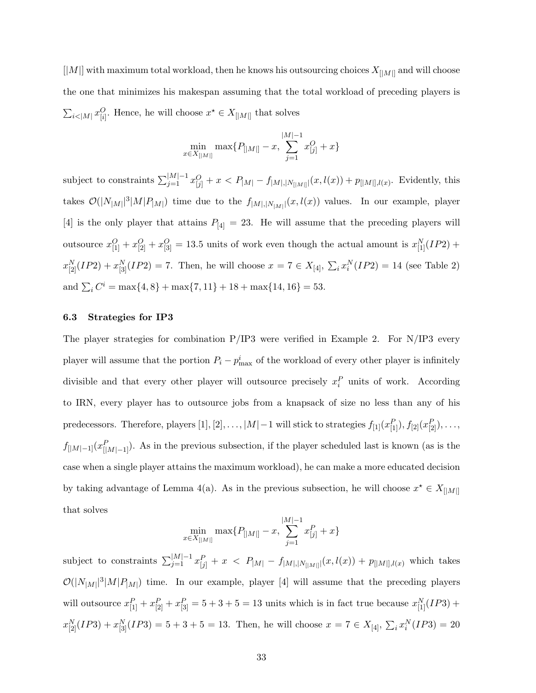$[|{\cal M}|]$  with maximum total workload, then he knows his outsourcing choices  $X_{[|{\cal M}|]}$  and will choose the one that minimizes his makespan assuming that the total workload of preceding players is  $\sum_{i \le |M|} x_{[i]}^O$ . Hence, he will choose  $x^* \in X_{[|M|]}$  that solves

$$
\min_{x \in X_{[|M|]}} \max\{P_{[|M|]} - x, \sum_{j=1}^{|M|-1} x^O_{[j]} + x\}
$$

subject to constraints  $\sum_{j=1}^{|M|-1} x_{[j]}^O + x < P_{|M|} - f_{|M|,|N_{[|M|]}}(x, l(x)) + p_{[|M|],l(x)}$ . Evidently, this takes  $\mathcal{O}(|N_{|M|}|^3|M|P_{|M|})$  time due to the  $f_{|M|,|N_{|M|}|}(x,l(x))$  values. In our example, player [4] is the only player that attains  $P_{[4]} = 23$ . He will assume that the preceding players will outsource  $x_{[1]}^O + x_{[2]}^O + x_{[3]}^O = 13.5$  units of work even though the actual amount is  $x_{[1]}^N (IP2)$  +  $x_{[2]}^N(IP2) + x_{[3]}^N(IP2) = 7$ . Then, he will choose  $x = 7 \in X_{[4]}$ ,  $\sum_i x_i^N(IP2) = 14$  (see Table 2) and  $\sum_i C^i = \max\{4, 8\} + \max\{7, 11\} + 18 + \max\{14, 16\} = 53.$ 

#### **6.3 Strategies for IP3**

The player strategies for combination  $P/IP3$  were verified in Example 2. For N/IP3 every player will assume that the portion  $P_i - p_{\text{max}}^i$  of the workload of every other player is infinitely divisible and that every other player will outsource precisely  $x_i^P$  units of work. According to IRN, every player has to outsource jobs from a knapsack of size no less than any of his predecessors. Therefore, players [1], [2], ..., |M|−1 will stick to strategies  $f_{[1]}(x_{[1]}^P)$ ,  $f_{[2]}(x_{[2]}^P)$ , ...,  $f_{[|M|-1]}(x_{[|M|-1]}^P)$ . As in the previous subsection, if the player scheduled last is known (as is the case when a single player attains the maximum workload), he can make a more educated decision by taking advantage of Lemma 4(a). As in the previous subsection, he will choose  $x^* \in X_{[M]}$ that solves

$$
\min_{x \in X_{[|M|]}} \max\{P_{[|M|]} - x, \sum_{j=1}^{|M|-1} x_{[j]}^P + x\}
$$

subject to constraints  $\sum_{j=1}^{|M|-1} x_{[j]}^P + x < P_{|M|} - f_{|M|,|N_{[|M|]}|}(x, l(x)) + p_{[|M|],l(x)}$  which takes  $\mathcal{O}(|N_{|M}|^3|M|P_{|M|})$  time. In our example, player [4] will assume that the preceding players will outsource  $x_{[1]}^P + x_{[2]}^P + x_{[3]}^P = 5 + 3 + 5 = 13$  units which is in fact true because  $x_{[1]}^N (IP3)$  +  $x_{[2]}^N(IP3) + x_{[3]}^N(IP3) = 5 + 3 + 5 = 13$ . Then, he will choose  $x = 7 \in X_{[4]}$ ,  $\sum_i x_i^N(ID3) = 20$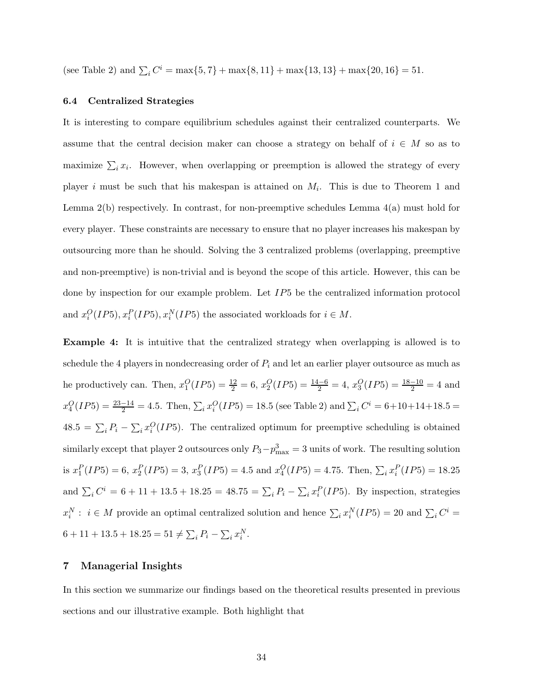(see Table 2) and  $\sum_i C^i = \max\{5, 7\} + \max\{8, 11\} + \max\{13, 13\} + \max\{20, 16\} = 51$ .

#### **6.4 Centralized Strategies**

It is interesting to compare equilibrium schedules against their centralized counterparts. We assume that the central decision maker can choose a strategy on behalf of  $i \in M$  so as to maximize  $\sum_i x_i$ . However, when overlapping or preemption is allowed the strategy of every player i must be such that his makespan is attained on  $M_i$ . This is due to Theorem 1 and Lemma  $2(b)$  respectively. In contrast, for non-preemptive schedules Lemma  $4(a)$  must hold for every player. These constraints are necessary to ensure that no player increases his makespan by outsourcing more than he should. Solving the 3 centralized problems (overlapping, preemptive and non-preemptive) is non-trivial and is beyond the scope of this article. However, this can be done by inspection for our example problem. Let IP5 be the centralized information protocol and  $x_i^O(IP5), x_i^P(IP5), x_i^N(IP5)$  the associated workloads for  $i \in M$ .

**Example 4:** It is intuitive that the centralized strategy when overlapping is allowed is to schedule the 4 players in nondecreasing order of  $P_i$  and let an earlier player outsource as much as he productively can. Then,  $x_1^O(IP5) = \frac{12}{2} = 6$ ,  $x_2^O(IP5) = \frac{14-6}{2} = 4$ ,  $x_3^O(IP5) = \frac{18-10}{2} = 4$  and  $x_4^O(IP5) = \frac{23-14}{2} = 4.5$ . Then,  $\sum_i x_i^O(IP5) = 18.5$  (see Table 2) and  $\sum_i C^i = 6+10+14+18.5 =$  $48.5 = \sum_i P_i - \sum_i x_i^O (IP5)$ . The centralized optimum for preemptive scheduling is obtained similarly except that player 2 outsources only  $P_3-p_{\text{max}}^3=3$  units of work. The resulting solution is  $x_1^P(IP5) = 6$ ,  $x_2^P(IP5) = 3$ ,  $x_3^P(IP5) = 4.5$  and  $x_4^O(IP5) = 4.75$ . Then,  $\sum_i x_i^P(IP5) = 18.25$ and  $\sum_i C^i = 6 + 11 + 13.5 + 18.25 = 48.75 = \sum_i P_i - \sum_i x_i^P (IP5)$ . By inspection, strategies  $x_i^N : i \in M$  provide an optimal centralized solution and hence  $\sum_i x_i^N (IP5) = 20$  and  $\sum_i C^i =$  $6 + 11 + 13.5 + 18.25 = 51 \neq \sum_i P_i - \sum_i x_i^N$ .

#### **7 Managerial Insights**

In this section we summarize our findings based on the theoretical results presented in previous sections and our illustrative example. Both highlight that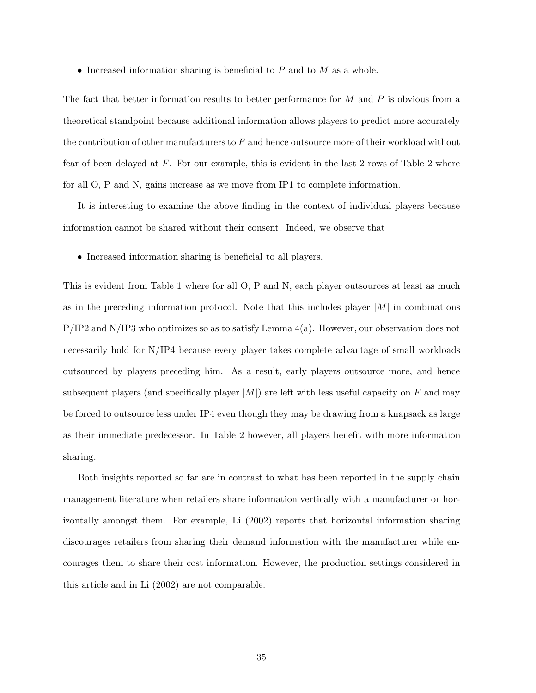• Increased information sharing is beneficial to  $P$  and to  $M$  as a whole.

The fact that better information results to better performance for M and P is obvious from a theoretical standpoint because additional information allows players to predict more accurately the contribution of other manufacturers to  $F$  and hence outsource more of their workload without fear of been delayed at  $F$ . For our example, this is evident in the last 2 rows of Table 2 where for all O, P and N, gains increase as we move from IP1 to complete information.

It is interesting to examine the above finding in the context of individual players because information cannot be shared without their consent. Indeed, we observe that

• Increased information sharing is beneficial to all players.

This is evident from Table 1 where for all O, P and N, each player outsources at least as much as in the preceding information protocol. Note that this includes player  $|M|$  in combinations  $P/IP2$  and  $N/IP3$  who optimizes so as to satisfy Lemma  $4(a)$ . However, our observation does not necessarily hold for N/IP4 because every player takes complete advantage of small workloads outsourced by players preceding him. As a result, early players outsource more, and hence subsequent players (and specifically player  $|M|$ ) are left with less useful capacity on F and may be forced to outsource less under IP4 even though they may be drawing from a knapsack as large as their immediate predecessor. In Table 2 however, all players benefit with more information sharing.

Both insights reported so far are in contrast to what has been reported in the supply chain management literature when retailers share information vertically with a manufacturer or horizontally amongst them. For example, Li (2002) reports that horizontal information sharing discourages retailers from sharing their demand information with the manufacturer while encourages them to share their cost information. However, the production settings considered in this article and in Li (2002) are not comparable.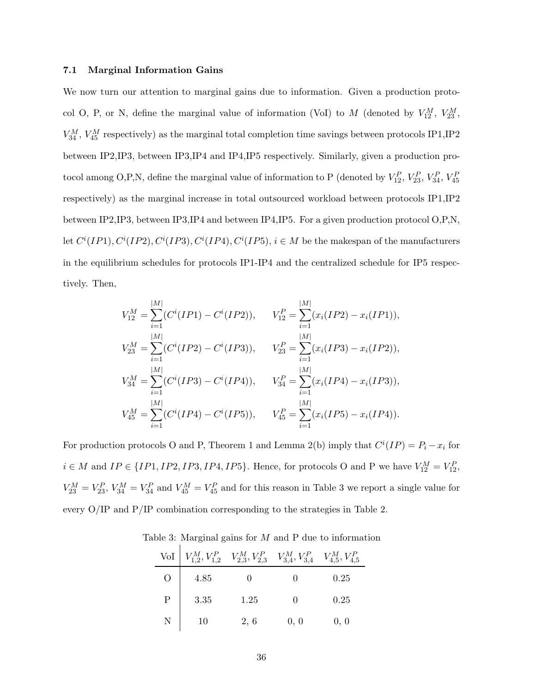#### **7.1 Marginal Information Gains**

We now turn our attention to marginal gains due to information. Given a production protocol O, P, or N, define the marginal value of information (VoI) to M (denoted by  $V_{12}^M$ ,  $V_{23}^M$ ,  $V_{34}^M$ ,  $V_{45}^M$  respectively) as the marginal total completion time savings between protocols IP1, IP2 between IP2,IP3, between IP3,IP4 and IP4,IP5 respectively. Similarly, given a production protocol among O,P,N, define the marginal value of information to P (denoted by  $V_{12}^P$ ,  $V_{23}^P$ ,  $V_{34}^P$ ,  $V_{45}^P$ respectively) as the marginal increase in total outsourced workload between protocols IP1,IP2 between IP2,IP3, between IP3,IP4 and between IP4,IP5. For a given production protocol O,P,N, let  $C^i(IP1), C^i(IP2), C^i(IP3), C^i(IP4), C^i(IP5), i \in M$  be the makespan of the manufacturers in the equilibrium schedules for protocols IP1-IP4 and the centralized schedule for IP5 respectively. Then,

$$
V_{12}^{M} = \sum_{i=1}^{|M|} (C^{i}(IP1) - C^{i}(IP2)), \qquad V_{12}^{P} = \sum_{i=1}^{|M|} (x_{i}(IP2) - x_{i}(IP1)),
$$
  
\n
$$
V_{23}^{M} = \sum_{i=1}^{|M|} (C^{i}(IP2) - C^{i}(IP3)), \qquad V_{23}^{P} = \sum_{i=1}^{|M|} (x_{i}(IP3) - x_{i}(IP2)),
$$
  
\n
$$
V_{34}^{M} = \sum_{i=1}^{|M|} (C^{i}(IP3) - C^{i}(IP4)), \qquad V_{34}^{P} = \sum_{i=1}^{|M|} (x_{i}(IP4) - x_{i}(IP3)),
$$
  
\n
$$
V_{45}^{M} = \sum_{i=1}^{|M|} (C^{i}(IP4) - C^{i}(IP5)), \qquad V_{45}^{P} = \sum_{i=1}^{|M|} (x_{i}(IP5) - x_{i}(IP4)).
$$

For production protocols O and P, Theorem 1 and Lemma 2(b) imply that  $C^{i}(IP) = P_i - x_i$  for  $i \in M$  and  $IP \in \{IP1, IP2, IP3, IP4, IP5\}$ . Hence, for protocols O and P we have  $V_{12}^M = V_{12}^P$ ,  $V_{23}^M = V_{23}^P$ ,  $V_{34}^M = V_{34}^P$  and  $V_{45}^M = V_{45}^P$  and for this reason in Table 3 we report a single value for every O/IP and P/IP combination corresponding to the strategies in Table 2.

|                | VoI $\left[V_{1,2}^M, V_{1,2}^P\quad V_{2,3}^M, V_{2,3}^P\quad V_{3,4}^M, V_{3,4}^P\quad V_{4,5}^M, V_{4,5}^P\right]$ |      |      |      |
|----------------|-----------------------------------------------------------------------------------------------------------------------|------|------|------|
| $\overline{O}$ | 4.85                                                                                                                  |      |      | 0.25 |
| $\mathbf{P}$   | 3.35                                                                                                                  | 1.25 | 0    | 0.25 |
| N              | 10                                                                                                                    | 2, 6 | 0, 0 | 0, 0 |

Table 3: Marginal gains for  $M$  and  $P$  due to information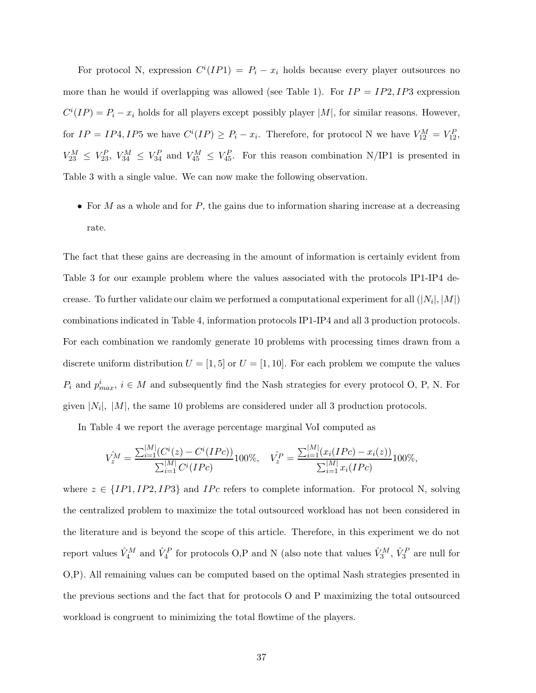For protocol N, expression  $C^{i}(IP1) = P_i - x_i$  holds because every player outsources no more than he would if overlapping was allowed (see Table 1). For  $IP = IP2, IP3$  expression  $C^{i}(IP) = P_{i} - x_{i}$  holds for all players except possibly player |M|, for similar reasons. However, for  $IP = IP4, IP5$  we have  $C^{i}(IP) \geq P_i - x_i$ . Therefore, for protocol N we have  $V_{12}^{M} = V_{12}^{P}$ ,  $V_{23}^M \leq V_{23}^P$ ,  $V_{34}^M \leq V_{34}^P$  and  $V_{45}^M \leq V_{45}^P$ . For this reason combination N/IP1 is presented in Table 3 with a single value. We can now make the following observation.

• For  $M$  as a whole and for  $P$ , the gains due to information sharing increase at a decreasing rate.

The fact that these gains are decreasing in the amount of information is certainly evident from Table 3 for our example problem where the values associated with the protocols IP1-IP4 decrease. To further validate our claim we performed a computational experiment for all  $(|N_i|, |M|)$ combinations indicated in Table 4, information protocols IP1-IP4 and all 3 production protocols. For each combination we randomly generate 10 problems with processing times drawn from a discrete uniform distribution  $U = [1, 5]$  or  $U = [1, 10]$ . For each problem we compute the values  $P_i$  and  $p_{max}^i$ ,  $i \in M$  and subsequently find the Nash strategies for every protocol O, P, N. For given  $|N_i|$ ,  $|M|$ , the same 10 problems are considered under all 3 production protocols.

In Table 4 we report the average percentage marginal VoI computed as

$$
V_z^{\hat{M}} = \frac{\sum_{i=1}^{|M|} (C^i(z) - C^i(IPc))}{\sum_{i=1}^{|M|} C^i(IPc)} 100\%, \quad V_z^{\hat{P}} = \frac{\sum_{i=1}^{|M|} (x_i(IPc) - x_i(z))}{\sum_{i=1}^{|M|} x_i(IPc)} 100\%,
$$

where  $z \in \{IP1, IP2, IP3\}$  and  $IPc$  refers to complete information. For protocol N, solving the centralized problem to maximize the total outsourced workload has not been considered in the literature and is beyond the scope of this article. Therefore, in this experiment we do not report values  $\hat{V}_4^M$  and  $\hat{V}_4^P$  for protocols O,P and N (also note that values  $\hat{V}_3^M$ ,  $\hat{V}_3^P$  are null for O,P). All remaining values can be computed based on the optimal Nash strategies presented in the previous sections and the fact that for protocols O and P maximizing the total outsourced workload is congruent to minimizing the total flowtime of the players.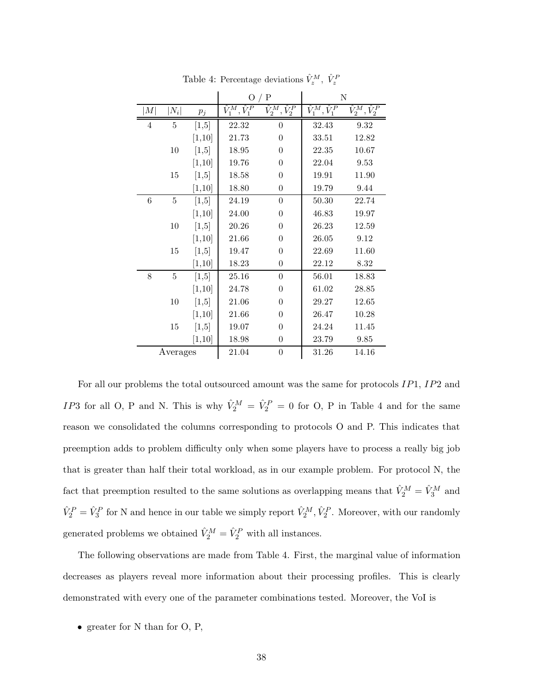|          |                    |                      | $\Omega$<br>/ $P$                     |                                           | N                                     |                            |
|----------|--------------------|----------------------|---------------------------------------|-------------------------------------------|---------------------------------------|----------------------------|
| M        | $\left N_i\right $ | $p_{\mathnormal{j}}$ | $\overline{\hat{V}}_1^M, \hat{V}_1^P$ | $\overline{\hat{V}^{M}_2}, \hat{V}^{P}_2$ | $\overline{\hat{V}_1^M}, \hat{V}_1^P$ | $\hat{V}_2^M, \hat{V}_2^P$ |
| 4        | 5                  | [1,5]                | 22.32                                 | 0                                         | 32.43                                 | 9.32                       |
|          |                    | [1, 10]              | 21.73                                 | $\theta$                                  | 33.51                                 | 12.82                      |
|          | 10                 | [1,5]                | 18.95                                 | $\theta$                                  | 22.35                                 | 10.67                      |
|          |                    | [1, 10]              | 19.76                                 | $\theta$                                  | 22.04                                 | 9.53                       |
|          | 15                 | [1,5]                | 18.58                                 | $\overline{0}$                            | 19.91                                 | 11.90                      |
|          |                    | [1,10]               | 18.80                                 | $\overline{0}$                            | 19.79                                 | 9.44                       |
| 6        | 5                  | [1,5]                | 24.19                                 | $\theta$                                  | 50.30                                 | 22.74                      |
|          |                    | [1,10]               | 24.00                                 | $\overline{0}$                            | 46.83                                 | 19.97                      |
|          | 10                 | [1,5]                | 20.26                                 | $\overline{0}$                            | 26.23                                 | 12.59                      |
|          |                    | [1, 10]              | 21.66                                 | $\theta$                                  | 26.05                                 | 9.12                       |
|          | 15                 | [1,5]                | 19.47                                 | $\theta$                                  | 22.69                                 | 11.60                      |
|          |                    | [1,10]               | 18.23                                 | $\overline{0}$                            | 22.12                                 | 8.32                       |
| $8\,$    | 5                  | [1,5]                | 25.16                                 | $\theta$                                  | 56.01                                 | 18.83                      |
|          |                    | [1,10]               | 24.78                                 | $\overline{0}$                            | 61.02                                 | 28.85                      |
|          | 10                 | [1,5]                | 21.06                                 | $\theta$                                  | 29.27                                 | 12.65                      |
|          |                    | [1, 10]              | 21.66                                 | $\overline{0}$                            | 26.47                                 | 10.28                      |
|          | 15                 | [1,5]                | 19.07                                 | $\overline{0}$                            | 24.24                                 | 11.45                      |
|          |                    | [1, 10]              | 18.98                                 | $\theta$                                  | 23.79                                 | 9.85                       |
| Averages |                    |                      | 21.04                                 | $\boldsymbol{0}$                          | 31.26                                 | 14.16                      |

Table 4: Percentage deviations  $\hat{V}_z^M$ ,  $\hat{V}_z^P$ 

For all our problems the total outsourced amount was the same for protocols IP1, IP2 and *IP*3 for all O, P and N. This is why  $\hat{V}_2^M = \hat{V}_2^P = 0$  for O, P in Table 4 and for the same reason we consolidated the columns corresponding to protocols O and P. This indicates that preemption adds to problem difficulty only when some players have to process a really big job that is greater than half their total workload, as in our example problem. For protocol N, the fact that preemption resulted to the same solutions as overlapping means that  $\hat{V}_2^M = \hat{V}_3^M$  and  $\hat{V}_2^P = \hat{V}_3^P$  for N and hence in our table we simply report  $\hat{V}_2^M$ ,  $\hat{V}_2^P$ . Moreover, with our randomly generated problems we obtained  $\hat{V}_2^M = \hat{V}_2^P$  with all instances.

The following observations are made from Table 4. First, the marginal value of information decreases as players reveal more information about their processing profiles. This is clearly demonstrated with every one of the parameter combinations tested. Moreover, the VoI is

• greater for N than for O, P,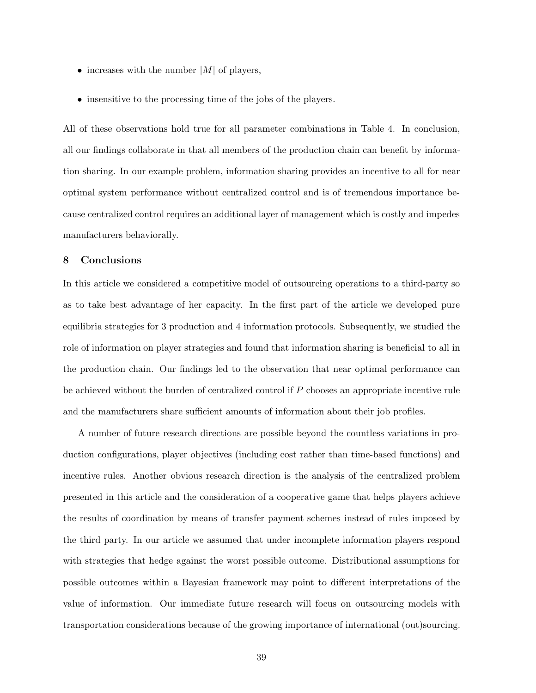- increases with the number  $|M|$  of players,
- insensitive to the processing time of the jobs of the players.

All of these observations hold true for all parameter combinations in Table 4. In conclusion, all our findings collaborate in that all members of the production chain can benefit by information sharing. In our example problem, information sharing provides an incentive to all for near optimal system performance without centralized control and is of tremendous importance because centralized control requires an additional layer of management which is costly and impedes manufacturers behaviorally.

# **8 Conclusions**

In this article we considered a competitive model of outsourcing operations to a third-party so as to take best advantage of her capacity. In the first part of the article we developed pure equilibria strategies for 3 production and 4 information protocols. Subsequently, we studied the role of information on player strategies and found that information sharing is beneficial to all in the production chain. Our findings led to the observation that near optimal performance can be achieved without the burden of centralized control if  $P$  chooses an appropriate incentive rule and the manufacturers share sufficient amounts of information about their job profiles.

A number of future research directions are possible beyond the countless variations in production configurations, player objectives (including cost rather than time-based functions) and incentive rules. Another obvious research direction is the analysis of the centralized problem presented in this article and the consideration of a cooperative game that helps players achieve the results of coordination by means of transfer payment schemes instead of rules imposed by the third party. In our article we assumed that under incomplete information players respond with strategies that hedge against the worst possible outcome. Distributional assumptions for possible outcomes within a Bayesian framework may point to different interpretations of the value of information. Our immediate future research will focus on outsourcing models with transportation considerations because of the growing importance of international (out)sourcing.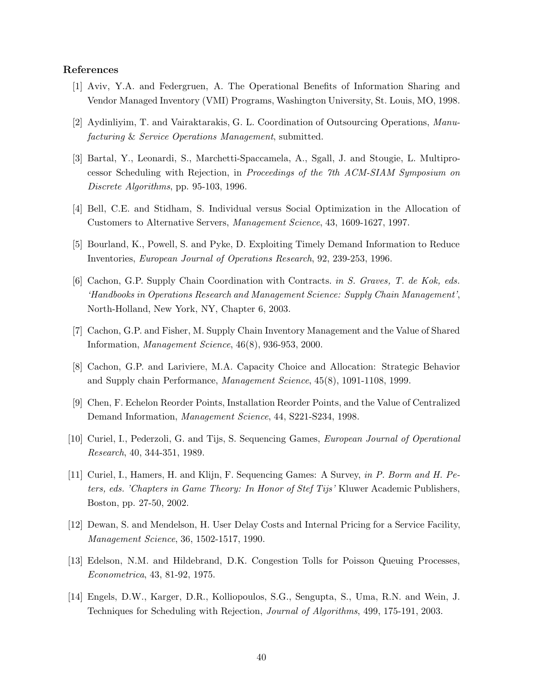#### **References**

- [1] Aviv, Y.A. and Federgruen, A. The Operational Benefits of Information Sharing and Vendor Managed Inventory (VMI) Programs, Washington University, St. Louis, MO, 1998.
- [2] Aydinliyim, T. and Vairaktarakis, G. L. Coordination of Outsourcing Operations, *Manufacturing* & *Service Operations Management*, submitted.
- [3] Bartal, Y., Leonardi, S., Marchetti-Spaccamela, A., Sgall, J. and Stougie, L. Multiprocessor Scheduling with Rejection, in *Proceedings of the 7th ACM-SIAM Symposium on Discrete Algorithms*, pp. 95-103, 1996.
- [4] Bell, C.E. and Stidham, S. Individual versus Social Optimization in the Allocation of Customers to Alternative Servers, *Management Science*, 43, 1609-1627, 1997.
- [5] Bourland, K., Powell, S. and Pyke, D. Exploiting Timely Demand Information to Reduce Inventories, *European Journal of Operations Research*, 92, 239-253, 1996.
- [6] Cachon, G.P. Supply Chain Coordination with Contracts. *in S. Graves, T. de Kok, eds. 'Handbooks in Operations Research and Management Science: Supply Chain Management'*, North-Holland, New York, NY, Chapter 6, 2003.
- [7] Cachon, G.P. and Fisher, M. Supply Chain Inventory Management and the Value of Shared Information, *Management Science*, 46(8), 936-953, 2000.
- [8] Cachon, G.P. and Lariviere, M.A. Capacity Choice and Allocation: Strategic Behavior and Supply chain Performance, *Management Science*, 45(8), 1091-1108, 1999.
- [9] Chen, F. Echelon Reorder Points, Installation Reorder Points, and the Value of Centralized Demand Information, *Management Science*, 44, S221-S234, 1998.
- [10] Curiel, I., Pederzoli, G. and Tijs, S. Sequencing Games, *European Journal of Operational Research*, 40, 344-351, 1989.
- [11] Curiel, I., Hamers, H. and Klijn, F. Sequencing Games: A Survey, *in P. Borm and H. Peters, eds. 'Chapters in Game Theory: In Honor of Stef Tijs'* Kluwer Academic Publishers, Boston, pp. 27-50, 2002.
- [12] Dewan, S. and Mendelson, H. User Delay Costs and Internal Pricing for a Service Facility, *Management Science*, 36, 1502-1517, 1990.
- [13] Edelson, N.M. and Hildebrand, D.K. Congestion Tolls for Poisson Queuing Processes, *Econometrica*, 43, 81-92, 1975.
- [14] Engels, D.W., Karger, D.R., Kolliopoulos, S.G., Sengupta, S., Uma, R.N. and Wein, J. Techniques for Scheduling with Rejection, *Journal of Algorithms*, 499, 175-191, 2003.